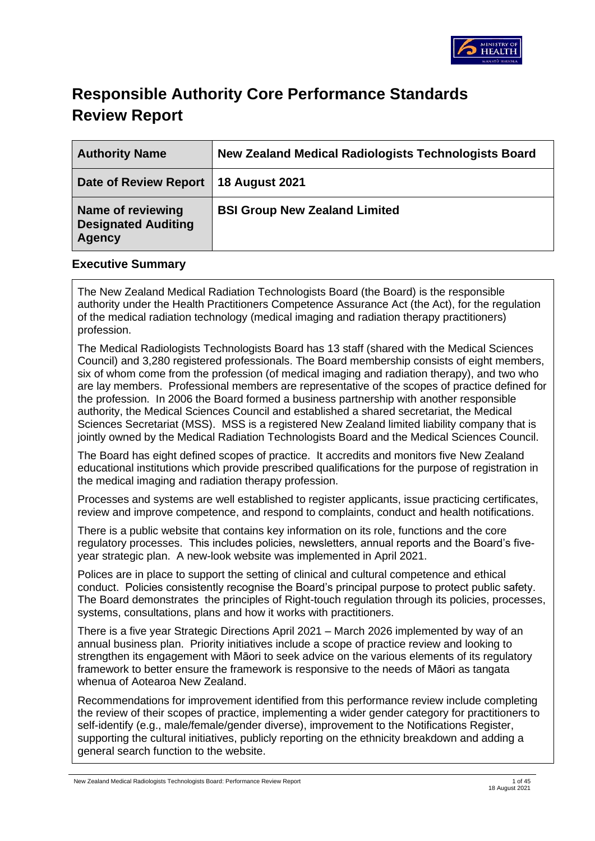

# **Responsible Authority Core Performance Standards Review Report**

| <b>Authority Name</b>                                     | <b>New Zealand Medical Radiologists Technologists Board</b> |
|-----------------------------------------------------------|-------------------------------------------------------------|
| Date of Review Report                                     | <b>18 August 2021</b>                                       |
| Name of reviewing<br><b>Designated Auditing</b><br>Agency | <b>BSI Group New Zealand Limited</b>                        |

### **Executive Summary**

The New Zealand Medical Radiation Technologists Board (the Board) is the responsible authority under the Health Practitioners Competence Assurance Act (the Act), for the regulation of the medical radiation technology (medical imaging and radiation therapy practitioners) profession.

The Medical Radiologists Technologists Board has 13 staff (shared with the Medical Sciences Council) and 3,280 registered professionals. The Board membership consists of eight members, six of whom come from the profession (of medical imaging and radiation therapy), and two who are lay members. Professional members are representative of the scopes of practice defined for the profession. In 2006 the Board formed a business partnership with another responsible authority, the Medical Sciences Council and established a shared secretariat, the Medical Sciences Secretariat (MSS). MSS is a registered New Zealand limited liability company that is jointly owned by the Medical Radiation Technologists Board and the Medical Sciences Council.

The Board has eight defined scopes of practice. It accredits and monitors five New Zealand educational institutions which provide prescribed qualifications for the purpose of registration in the medical imaging and radiation therapy profession.

Processes and systems are well established to register applicants, issue practicing certificates, review and improve competence, and respond to complaints, conduct and health notifications.

There is a public website that contains key information on its role, functions and the core regulatory processes. This includes policies, newsletters, annual reports and the Board's fiveyear strategic plan. A new-look website was implemented in April 2021.

Polices are in place to support the setting of clinical and cultural competence and ethical conduct. Policies consistently recognise the Board's principal purpose to protect public safety. The Board demonstrates the principles of Right-touch regulation through its policies, processes, systems, consultations, plans and how it works with practitioners.

There is a five year Strategic Directions April 2021 – March 2026 implemented by way of an annual business plan. Priority initiatives include a scope of practice review and looking to strengthen its engagement with Māori to seek advice on the various elements of its regulatory framework to better ensure the framework is responsive to the needs of Māori as tangata whenua of Aotearoa New Zealand.

Recommendations for improvement identified from this performance review include completing the review of their scopes of practice, implementing a wider gender category for practitioners to self-identify (e.g., male/female/gender diverse), improvement to the Notifications Register, supporting the cultural initiatives, publicly reporting on the ethnicity breakdown and adding a general search function to the website.

New Zealand Medical Radiologists Technologists Board: Performance Review Report 1 of 45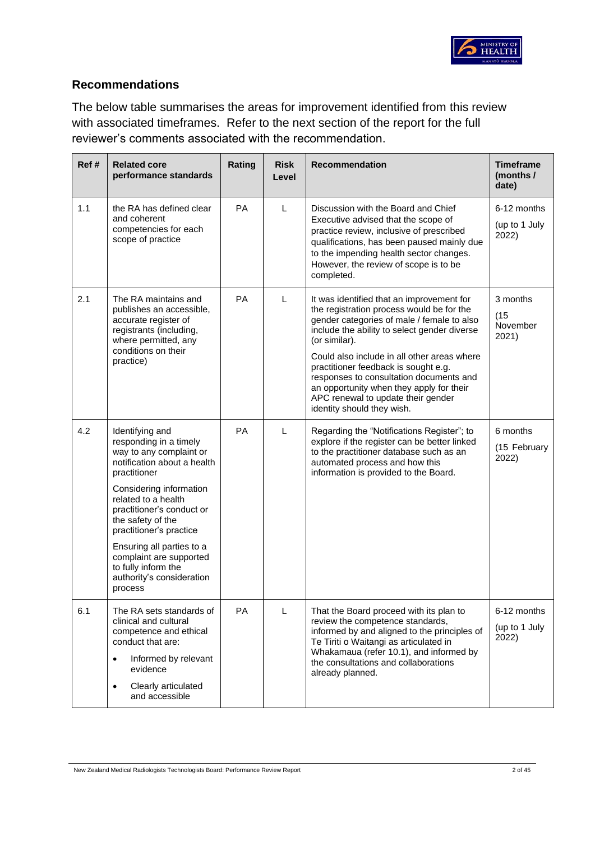

## **Recommendations**

The below table summarises the areas for improvement identified from this review with associated timeframes. Refer to the next section of the report for the full reviewer's comments associated with the recommendation.

| Ref # | <b>Related core</b><br>performance standards                                                                                                                                                                                                                                                                                                                              | Rating    | <b>Risk</b><br>Level | Recommendation                                                                                                                                                                                                                                                                                                                                                                                                                                          | <b>Timeframe</b><br>(months /<br>date) |
|-------|---------------------------------------------------------------------------------------------------------------------------------------------------------------------------------------------------------------------------------------------------------------------------------------------------------------------------------------------------------------------------|-----------|----------------------|---------------------------------------------------------------------------------------------------------------------------------------------------------------------------------------------------------------------------------------------------------------------------------------------------------------------------------------------------------------------------------------------------------------------------------------------------------|----------------------------------------|
| 1.1   | the RA has defined clear<br>and coherent<br>competencies for each<br>scope of practice                                                                                                                                                                                                                                                                                    | <b>PA</b> | L                    | Discussion with the Board and Chief<br>Executive advised that the scope of<br>practice review, inclusive of prescribed<br>qualifications, has been paused mainly due<br>to the impending health sector changes.<br>However, the review of scope is to be<br>completed.                                                                                                                                                                                  | 6-12 months<br>(up to 1 July<br>2022)  |
| 2.1   | The RA maintains and<br>publishes an accessible,<br>accurate register of<br>registrants (including,<br>where permitted, any<br>conditions on their<br>practice)                                                                                                                                                                                                           | PA        | L                    | It was identified that an improvement for<br>the registration process would be for the<br>gender categories of male / female to also<br>include the ability to select gender diverse<br>(or similar).<br>Could also include in all other areas where<br>practitioner feedback is sought e.g.<br>responses to consultation documents and<br>an opportunity when they apply for their<br>APC renewal to update their gender<br>identity should they wish. | 3 months<br>(15)<br>November<br>2021)  |
| 4.2   | Identifying and<br>responding in a timely<br>way to any complaint or<br>notification about a health<br>practitioner<br>Considering information<br>related to a health<br>practitioner's conduct or<br>the safety of the<br>practitioner's practice<br>Ensuring all parties to a<br>complaint are supported<br>to fully inform the<br>authority's consideration<br>process | PA        | L                    | Regarding the "Notifications Register"; to<br>explore if the register can be better linked<br>to the practitioner database such as an<br>automated process and how this<br>information is provided to the Board.                                                                                                                                                                                                                                        | 6 months<br>(15 February<br>2022)      |
| 6.1   | The RA sets standards of<br>clinical and cultural<br>competence and ethical<br>conduct that are:<br>Informed by relevant<br>$\bullet$<br>evidence<br>Clearly articulated<br>$\bullet$<br>and accessible                                                                                                                                                                   | <b>PA</b> | Г                    | That the Board proceed with its plan to<br>review the competence standards,<br>informed by and aligned to the principles of<br>Te Tiriti o Waitangi as articulated in<br>Whakamaua (refer 10.1), and informed by<br>the consultations and collaborations<br>already planned.                                                                                                                                                                            | 6-12 months<br>(up to 1 July<br>2022)  |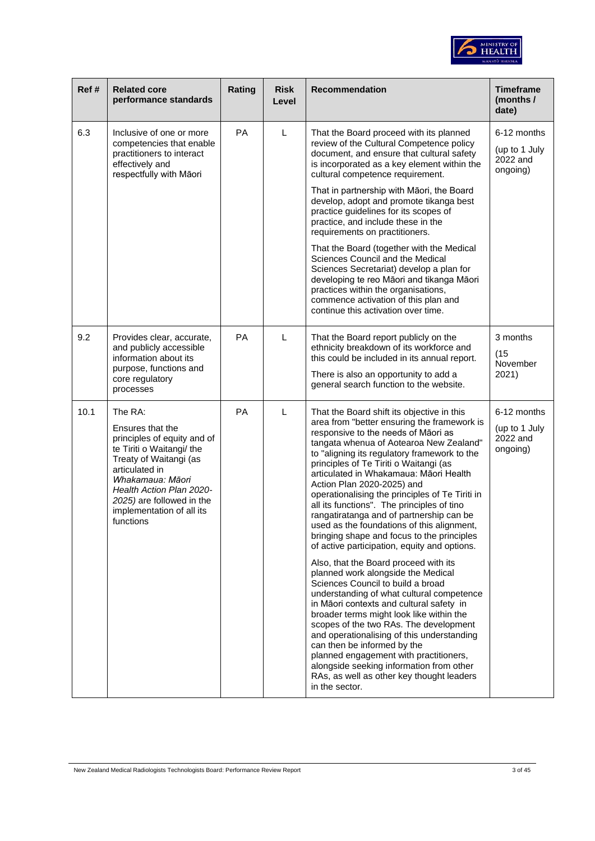

| Ref# | <b>Related core</b><br>performance standards                                                                                                                                                                                                               | Rating | <b>Risk</b><br>Level | <b>Recommendation</b>                                                                                                                                                                                                                                                                                                                                                                                                                                                                                                                                                                                                                                                                                                                                                                                   | <b>Timeframe</b><br>(months /<br>date)               |
|------|------------------------------------------------------------------------------------------------------------------------------------------------------------------------------------------------------------------------------------------------------------|--------|----------------------|---------------------------------------------------------------------------------------------------------------------------------------------------------------------------------------------------------------------------------------------------------------------------------------------------------------------------------------------------------------------------------------------------------------------------------------------------------------------------------------------------------------------------------------------------------------------------------------------------------------------------------------------------------------------------------------------------------------------------------------------------------------------------------------------------------|------------------------------------------------------|
| 6.3  | Inclusive of one or more<br>competencies that enable<br>practitioners to interact<br>effectively and<br>respectfully with Māori                                                                                                                            | PA     | L                    | That the Board proceed with its planned<br>review of the Cultural Competence policy<br>document, and ensure that cultural safety<br>is incorporated as a key element within the<br>cultural competence requirement.<br>That in partnership with Māori, the Board                                                                                                                                                                                                                                                                                                                                                                                                                                                                                                                                        | 6-12 months<br>(up to 1 July<br>2022 and<br>ongoing) |
|      |                                                                                                                                                                                                                                                            |        |                      | develop, adopt and promote tikanga best<br>practice guidelines for its scopes of<br>practice, and include these in the<br>requirements on practitioners.                                                                                                                                                                                                                                                                                                                                                                                                                                                                                                                                                                                                                                                |                                                      |
|      |                                                                                                                                                                                                                                                            |        |                      | That the Board (together with the Medical<br>Sciences Council and the Medical<br>Sciences Secretariat) develop a plan for<br>developing te reo Māori and tikanga Māori<br>practices within the organisations,<br>commence activation of this plan and<br>continue this activation over time.                                                                                                                                                                                                                                                                                                                                                                                                                                                                                                            |                                                      |
| 9.2  | Provides clear, accurate,<br>and publicly accessible<br>information about its<br>purpose, functions and<br>core regulatory<br>processes                                                                                                                    | PA     | L                    | That the Board report publicly on the<br>ethnicity breakdown of its workforce and<br>this could be included in its annual report.<br>There is also an opportunity to add a<br>general search function to the website.                                                                                                                                                                                                                                                                                                                                                                                                                                                                                                                                                                                   | 3 months<br>(15)<br>November<br>2021)                |
| 10.1 | The RA:<br>Ensures that the<br>principles of equity and of<br>te Tiriti o Waitangi/ the<br>Treaty of Waitangi (as<br>articulated in<br>Whakamaua: Māori<br>Health Action Plan 2020-<br>2025) are followed in the<br>implementation of all its<br>functions | PA     | L                    | That the Board shift its objective in this<br>area from "better ensuring the framework is<br>responsive to the needs of Māori as<br>tangata whenua of Aotearoa New Zealand"<br>to "aligning its regulatory framework to the<br>principles of Te Tiriti o Waitangi (as<br>articulated in Whakamaua: Māori Health<br>Action Plan 2020-2025) and<br>operationalising the principles of Te Tiriti in<br>all its functions". The principles of tino<br>rangatiratanga and of partnership can be<br>used as the foundations of this alignment,<br>bringing shape and focus to the principles<br>of active participation, equity and options.<br>Also, that the Board proceed with its<br>planned work alongside the Medical<br>Sciences Council to build a broad<br>understanding of what cultural competence | 6-12 months<br>(up to 1 July<br>2022 and<br>ongoing) |
|      |                                                                                                                                                                                                                                                            |        |                      | in Māori contexts and cultural safety in<br>broader terms might look like within the<br>scopes of the two RAs. The development<br>and operationalising of this understanding<br>can then be informed by the<br>planned engagement with practitioners,<br>alongside seeking information from other<br>RAs, as well as other key thought leaders<br>in the sector.                                                                                                                                                                                                                                                                                                                                                                                                                                        |                                                      |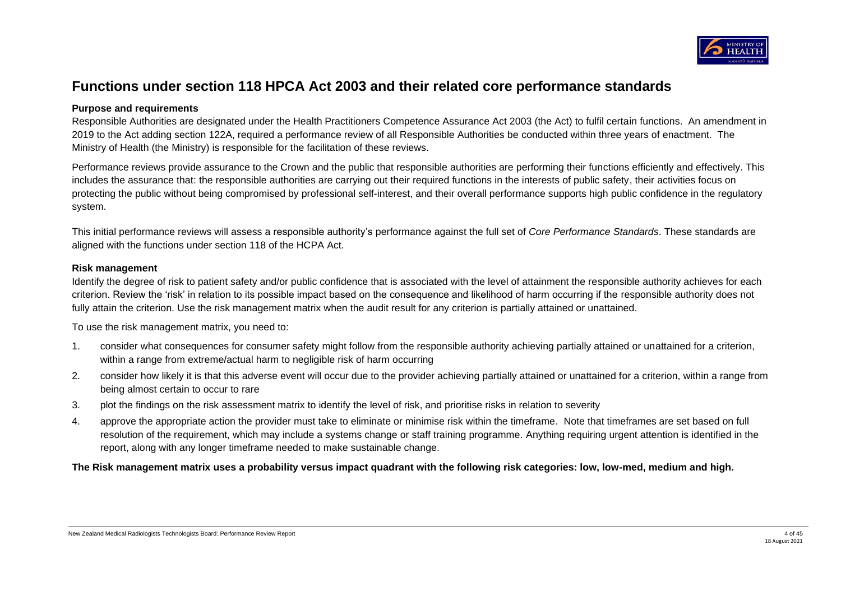

# **Functions under section 118 HPCA Act 2003 and their related core performance standards**

### **Purpose and requirements**

Responsible Authorities are designated under the Health Practitioners Competence Assurance Act 2003 (the Act) to fulfil certain functions. An amendment in 2019 to the Act adding section 122A, required a performance review of all Responsible Authorities be conducted within three years of enactment. The Ministry of Health (the Ministry) is responsible for the facilitation of these reviews.

Performance reviews provide assurance to the Crown and the public that responsible authorities are performing their functions efficiently and effectively. This includes the assurance that: the responsible authorities are carrying out their required functions in the interests of public safety, their activities focus on protecting the public without being compromised by professional self-interest, and their overall performance supports high public confidence in the regulatory system.

This initial performance reviews will assess a responsible authority's performance against the full set of *Core Performance Standards*. These standards are aligned with the functions under section 118 of the HCPA Act.

#### **Risk management**

Identify the degree of risk to patient safety and/or public confidence that is associated with the level of attainment the responsible authority achieves for each criterion. Review the 'risk' in relation to its possible impact based on the consequence and likelihood of harm occurring if the responsible authority does not fully attain the criterion. Use the risk management matrix when the audit result for any criterion is partially attained or unattained.

To use the risk management matrix, you need to:

- 1. consider what consequences for consumer safety might follow from the responsible authority achieving partially attained or unattained for a criterion, within a range from extreme/actual harm to negligible risk of harm occurring
- 2. consider how likely it is that this adverse event will occur due to the provider achieving partially attained or unattained for a criterion, within a range from being almost certain to occur to rare
- 3. plot the findings on the risk assessment matrix to identify the level of risk, and prioritise risks in relation to severity
- 4. approve the appropriate action the provider must take to eliminate or minimise risk within the timeframe. Note that timeframes are set based on full resolution of the requirement, which may include a systems change or staff training programme. Anything requiring urgent attention is identified in the report, along with any longer timeframe needed to make sustainable change.

**The Risk management matrix uses a probability versus impact quadrant with the following risk categories: low, low-med, medium and high.**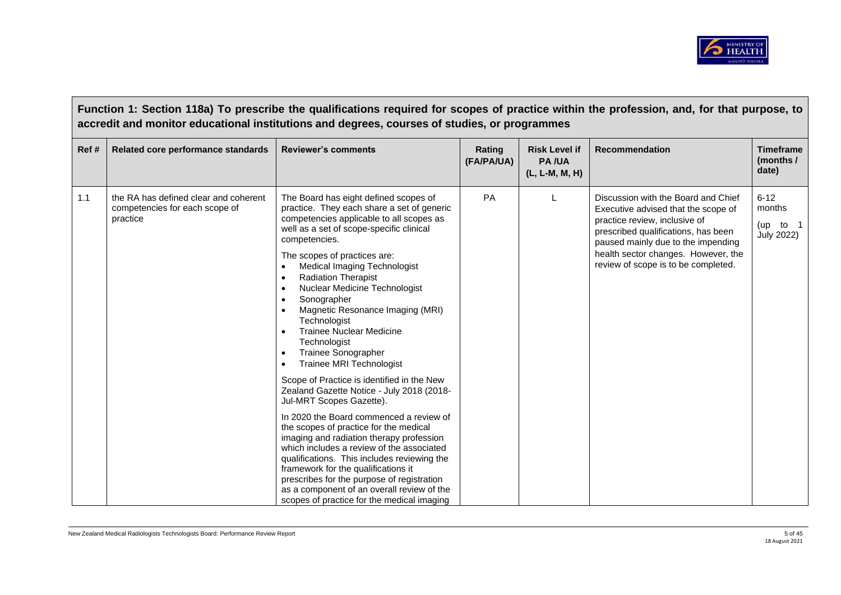

|      | Function 1: Section 118a) To prescribe the qualifications required for scopes of practice within the profession, and, for that purpose, to<br>accredit and monitor educational institutions and degrees, courses of studies, or programmes |                                                                                                                                                                                                                                                                                                                                                                                                                                                                                                                                                                                                                                                                                                                                                                                                                                                                                                                                                                                                                                                                                                                                                                 |                      |                                                        |                                                                                                                                                                                                                                                                        |                                                        |  |  |
|------|--------------------------------------------------------------------------------------------------------------------------------------------------------------------------------------------------------------------------------------------|-----------------------------------------------------------------------------------------------------------------------------------------------------------------------------------------------------------------------------------------------------------------------------------------------------------------------------------------------------------------------------------------------------------------------------------------------------------------------------------------------------------------------------------------------------------------------------------------------------------------------------------------------------------------------------------------------------------------------------------------------------------------------------------------------------------------------------------------------------------------------------------------------------------------------------------------------------------------------------------------------------------------------------------------------------------------------------------------------------------------------------------------------------------------|----------------------|--------------------------------------------------------|------------------------------------------------------------------------------------------------------------------------------------------------------------------------------------------------------------------------------------------------------------------------|--------------------------------------------------------|--|--|
| Ref# | Related core performance standards                                                                                                                                                                                                         | <b>Reviewer's comments</b>                                                                                                                                                                                                                                                                                                                                                                                                                                                                                                                                                                                                                                                                                                                                                                                                                                                                                                                                                                                                                                                                                                                                      | Rating<br>(FA/PA/UA) | <b>Risk Level if</b><br><b>PA/UA</b><br>(L, L-M, M, H) | Recommendation                                                                                                                                                                                                                                                         | <b>Timeframe</b><br>(months /<br>date)                 |  |  |
| 1.1  | the RA has defined clear and coherent<br>competencies for each scope of<br>practice                                                                                                                                                        | The Board has eight defined scopes of<br>practice. They each share a set of generic<br>competencies applicable to all scopes as<br>well as a set of scope-specific clinical<br>competencies.<br>The scopes of practices are:<br><b>Medical Imaging Technologist</b><br>$\bullet$<br><b>Radiation Therapist</b><br>$\bullet$<br>Nuclear Medicine Technologist<br>$\bullet$<br>Sonographer<br>$\bullet$<br>Magnetic Resonance Imaging (MRI)<br>$\bullet$<br>Technologist<br><b>Trainee Nuclear Medicine</b><br>$\bullet$<br>Technologist<br>Trainee Sonographer<br>$\bullet$<br><b>Trainee MRI Technologist</b><br>$\bullet$<br>Scope of Practice is identified in the New<br>Zealand Gazette Notice - July 2018 (2018-<br>Jul-MRT Scopes Gazette).<br>In 2020 the Board commenced a review of<br>the scopes of practice for the medical<br>imaging and radiation therapy profession<br>which includes a review of the associated<br>qualifications. This includes reviewing the<br>framework for the qualifications it<br>prescribes for the purpose of registration<br>as a component of an overall review of the<br>scopes of practice for the medical imaging | PA                   |                                                        | Discussion with the Board and Chief<br>Executive advised that the scope of<br>practice review, inclusive of<br>prescribed qualifications, has been<br>paused mainly due to the impending<br>health sector changes. However, the<br>review of scope is to be completed. | $6 - 12$<br>months<br>(up<br>to 1<br><b>July 2022)</b> |  |  |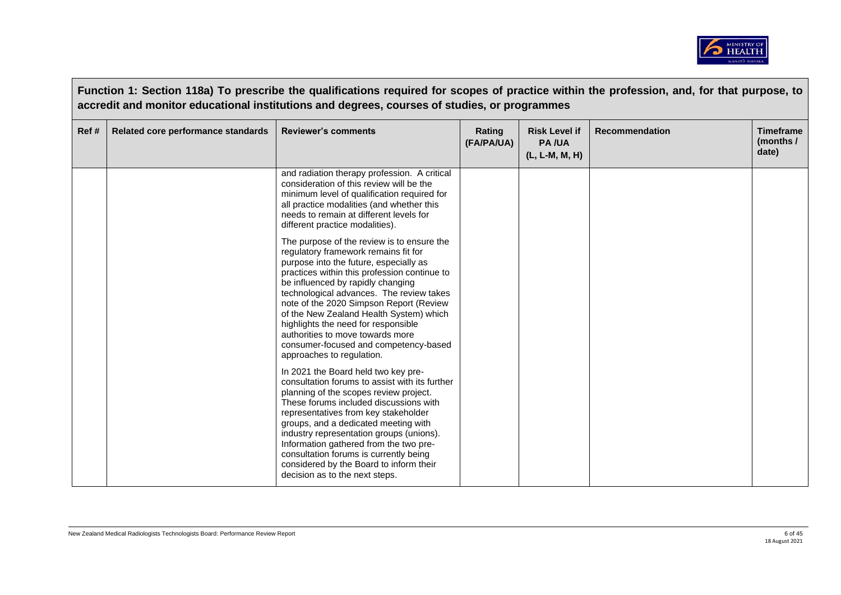

| Function 1: Section 118a) To prescribe the qualifications required for scopes of practice within the profession, and, for that purpose, to<br>accredit and monitor educational institutions and degrees, courses of studies, or programmes |                                    |                                                                                                                                                                                                                                                                                                                                                                                                                                                                                                      |                      |                                                        |                       |                                        |
|--------------------------------------------------------------------------------------------------------------------------------------------------------------------------------------------------------------------------------------------|------------------------------------|------------------------------------------------------------------------------------------------------------------------------------------------------------------------------------------------------------------------------------------------------------------------------------------------------------------------------------------------------------------------------------------------------------------------------------------------------------------------------------------------------|----------------------|--------------------------------------------------------|-----------------------|----------------------------------------|
| Ref #                                                                                                                                                                                                                                      | Related core performance standards | <b>Reviewer's comments</b>                                                                                                                                                                                                                                                                                                                                                                                                                                                                           | Rating<br>(FA/PA/UA) | <b>Risk Level if</b><br><b>PA/UA</b><br>(L, L-M, M, H) | <b>Recommendation</b> | <b>Timeframe</b><br>(months /<br>date) |
|                                                                                                                                                                                                                                            |                                    | and radiation therapy profession. A critical<br>consideration of this review will be the<br>minimum level of qualification required for<br>all practice modalities (and whether this<br>needs to remain at different levels for<br>different practice modalities).                                                                                                                                                                                                                                   |                      |                                                        |                       |                                        |
|                                                                                                                                                                                                                                            |                                    | The purpose of the review is to ensure the<br>regulatory framework remains fit for<br>purpose into the future, especially as<br>practices within this profession continue to<br>be influenced by rapidly changing<br>technological advances. The review takes<br>note of the 2020 Simpson Report (Review<br>of the New Zealand Health System) which<br>highlights the need for responsible<br>authorities to move towards more<br>consumer-focused and competency-based<br>approaches to regulation. |                      |                                                        |                       |                                        |
|                                                                                                                                                                                                                                            |                                    | In 2021 the Board held two key pre-<br>consultation forums to assist with its further<br>planning of the scopes review project.<br>These forums included discussions with<br>representatives from key stakeholder<br>groups, and a dedicated meeting with<br>industry representation groups (unions).<br>Information gathered from the two pre-<br>consultation forums is currently being<br>considered by the Board to inform their<br>decision as to the next steps.                               |                      |                                                        |                       |                                        |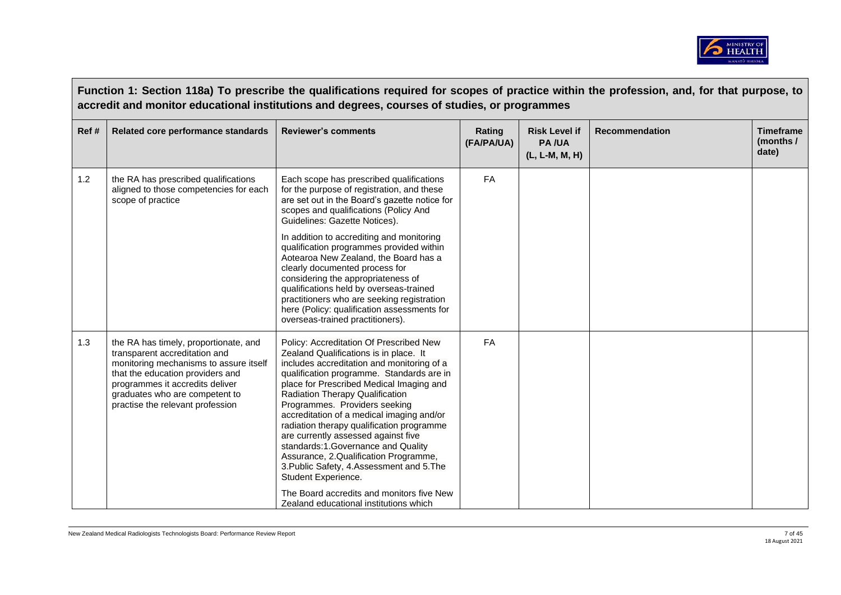

|      | Function 1: Section 118a) To prescribe the qualifications required for scopes of practice within the profession, and, for that purpose, to<br>accredit and monitor educational institutions and degrees, courses of studies, or programmes                    |                                                                                                                                                                                                                                                                                                                                                                                                                                                                                                                                                                                                                                                                                 |                      |                                                        |                       |                                        |  |
|------|---------------------------------------------------------------------------------------------------------------------------------------------------------------------------------------------------------------------------------------------------------------|---------------------------------------------------------------------------------------------------------------------------------------------------------------------------------------------------------------------------------------------------------------------------------------------------------------------------------------------------------------------------------------------------------------------------------------------------------------------------------------------------------------------------------------------------------------------------------------------------------------------------------------------------------------------------------|----------------------|--------------------------------------------------------|-----------------------|----------------------------------------|--|
| Ref# | Related core performance standards                                                                                                                                                                                                                            | <b>Reviewer's comments</b>                                                                                                                                                                                                                                                                                                                                                                                                                                                                                                                                                                                                                                                      | Rating<br>(FA/PA/UA) | <b>Risk Level if</b><br><b>PA/UA</b><br>(L, L-M, M, H) | <b>Recommendation</b> | <b>Timeframe</b><br>(months /<br>date) |  |
| 1.2  | the RA has prescribed qualifications<br>aligned to those competencies for each<br>scope of practice                                                                                                                                                           | Each scope has prescribed qualifications<br>for the purpose of registration, and these<br>are set out in the Board's gazette notice for<br>scopes and qualifications (Policy And<br>Guidelines: Gazette Notices).<br>In addition to accrediting and monitoring<br>qualification programmes provided within<br>Aotearoa New Zealand, the Board has a<br>clearly documented process for<br>considering the appropriateness of<br>qualifications held by overseas-trained<br>practitioners who are seeking registration<br>here (Policy: qualification assessments for<br>overseas-trained practitioners).                                                                         | <b>FA</b>            |                                                        |                       |                                        |  |
| 1.3  | the RA has timely, proportionate, and<br>transparent accreditation and<br>monitoring mechanisms to assure itself<br>that the education providers and<br>programmes it accredits deliver<br>graduates who are competent to<br>practise the relevant profession | Policy: Accreditation Of Prescribed New<br>Zealand Qualifications is in place. It<br>includes accreditation and monitoring of a<br>qualification programme. Standards are in<br>place for Prescribed Medical Imaging and<br><b>Radiation Therapy Qualification</b><br>Programmes. Providers seeking<br>accreditation of a medical imaging and/or<br>radiation therapy qualification programme<br>are currently assessed against five<br>standards:1.Governance and Quality<br>Assurance, 2.Qualification Programme,<br>3. Public Safety, 4. Assessment and 5. The<br>Student Experience.<br>The Board accredits and monitors five New<br>Zealand educational institutions which | FA                   |                                                        |                       |                                        |  |

 $\overline{\phantom{a}}$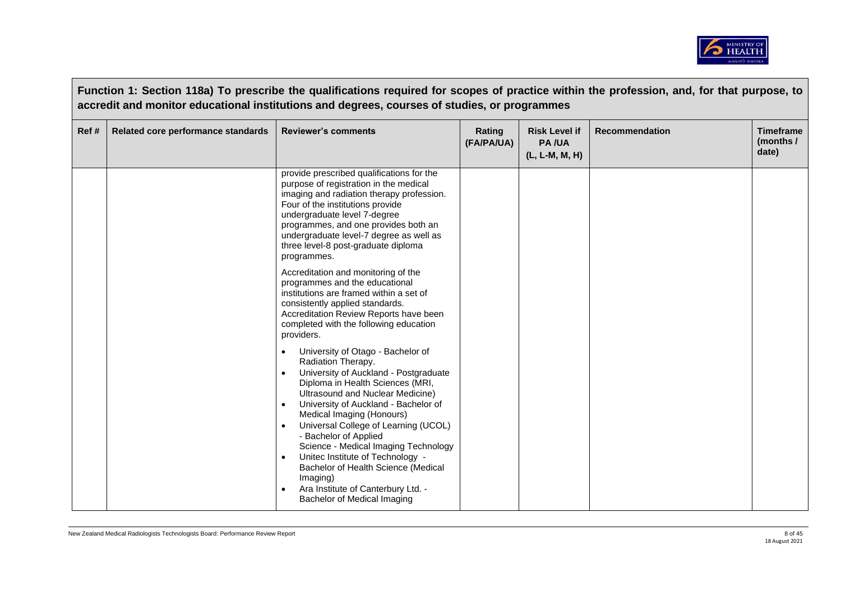

|       |                                    | Function 1: Section 118a) To prescribe the qualifications required for scopes of practice within the profession, and, for that purpose, to<br>accredit and monitor educational institutions and degrees, courses of studies, or programmes                                                                                                                                                                                                                                                                                                                                                                                                                                                                                                                                                                                                                                                                                                                                                                                                                                                                              |                      |                                                          |                       |                                        |
|-------|------------------------------------|-------------------------------------------------------------------------------------------------------------------------------------------------------------------------------------------------------------------------------------------------------------------------------------------------------------------------------------------------------------------------------------------------------------------------------------------------------------------------------------------------------------------------------------------------------------------------------------------------------------------------------------------------------------------------------------------------------------------------------------------------------------------------------------------------------------------------------------------------------------------------------------------------------------------------------------------------------------------------------------------------------------------------------------------------------------------------------------------------------------------------|----------------------|----------------------------------------------------------|-----------------------|----------------------------------------|
| Ref # | Related core performance standards | <b>Reviewer's comments</b>                                                                                                                                                                                                                                                                                                                                                                                                                                                                                                                                                                                                                                                                                                                                                                                                                                                                                                                                                                                                                                                                                              | Rating<br>(FA/PA/UA) | <b>Risk Level if</b><br><b>PA/UA</b><br>$(L, L-M, M, H)$ | <b>Recommendation</b> | <b>Timeframe</b><br>(months /<br>date) |
|       |                                    | provide prescribed qualifications for the<br>purpose of registration in the medical<br>imaging and radiation therapy profession.<br>Four of the institutions provide<br>undergraduate level 7-degree<br>programmes, and one provides both an<br>undergraduate level-7 degree as well as<br>three level-8 post-graduate diploma<br>programmes.<br>Accreditation and monitoring of the<br>programmes and the educational<br>institutions are framed within a set of<br>consistently applied standards.<br>Accreditation Review Reports have been<br>completed with the following education<br>providers.<br>University of Otago - Bachelor of<br>Radiation Therapy.<br>University of Auckland - Postgraduate<br>$\bullet$<br>Diploma in Health Sciences (MRI,<br>Ultrasound and Nuclear Medicine)<br>University of Auckland - Bachelor of<br>Medical Imaging (Honours)<br>Universal College of Learning (UCOL)<br>- Bachelor of Applied<br>Science - Medical Imaging Technology<br>Unitec Institute of Technology -<br>$\bullet$<br>Bachelor of Health Science (Medical<br>Imaging)<br>Ara Institute of Canterbury Ltd. - |                      |                                                          |                       |                                        |
|       |                                    | Bachelor of Medical Imaging                                                                                                                                                                                                                                                                                                                                                                                                                                                                                                                                                                                                                                                                                                                                                                                                                                                                                                                                                                                                                                                                                             |                      |                                                          |                       |                                        |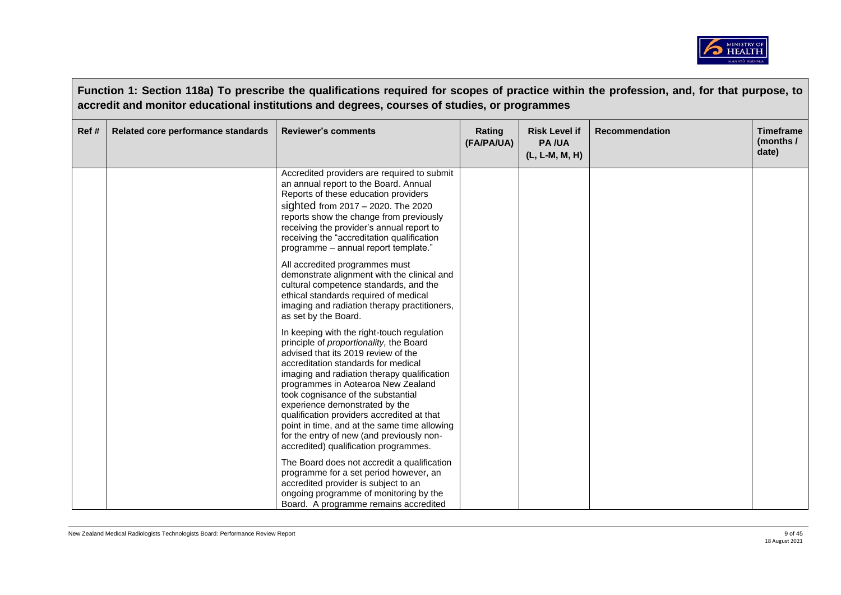

|       |                                    | Function 1: Section 118a) To prescribe the qualifications required for scopes of practice within the profession, and, for that purpose, to<br>accredit and monitor educational institutions and degrees, courses of studies, or programmes                                                                                                                                                                                                                                                                           |                      |                                                          |                       |                                        |
|-------|------------------------------------|----------------------------------------------------------------------------------------------------------------------------------------------------------------------------------------------------------------------------------------------------------------------------------------------------------------------------------------------------------------------------------------------------------------------------------------------------------------------------------------------------------------------|----------------------|----------------------------------------------------------|-----------------------|----------------------------------------|
| Ref # | Related core performance standards | <b>Reviewer's comments</b>                                                                                                                                                                                                                                                                                                                                                                                                                                                                                           | Rating<br>(FA/PA/UA) | <b>Risk Level if</b><br><b>PA/UA</b><br>$(L, L-M, M, H)$ | <b>Recommendation</b> | <b>Timeframe</b><br>(months /<br>date) |
|       |                                    | Accredited providers are required to submit<br>an annual report to the Board. Annual<br>Reports of these education providers<br>sighted from $2017 - 2020$ . The $2020$<br>reports show the change from previously<br>receiving the provider's annual report to<br>receiving the "accreditation qualification<br>programme - annual report template."                                                                                                                                                                |                      |                                                          |                       |                                        |
|       |                                    | All accredited programmes must<br>demonstrate alignment with the clinical and<br>cultural competence standards, and the<br>ethical standards required of medical<br>imaging and radiation therapy practitioners,<br>as set by the Board.                                                                                                                                                                                                                                                                             |                      |                                                          |                       |                                        |
|       |                                    | In keeping with the right-touch regulation<br>principle of proportionality, the Board<br>advised that its 2019 review of the<br>accreditation standards for medical<br>imaging and radiation therapy qualification<br>programmes in Aotearoa New Zealand<br>took cognisance of the substantial<br>experience demonstrated by the<br>qualification providers accredited at that<br>point in time, and at the same time allowing<br>for the entry of new (and previously non-<br>accredited) qualification programmes. |                      |                                                          |                       |                                        |
|       |                                    | The Board does not accredit a qualification<br>programme for a set period however, an<br>accredited provider is subject to an<br>ongoing programme of monitoring by the<br>Board. A programme remains accredited                                                                                                                                                                                                                                                                                                     |                      |                                                          |                       |                                        |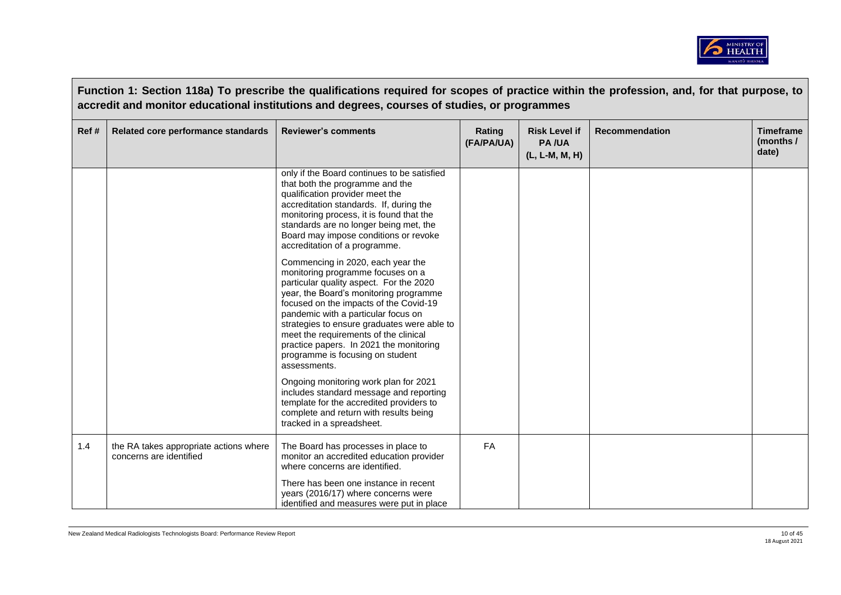

|      | Function 1: Section 118a) To prescribe the qualifications required for scopes of practice within the profession, and, for that purpose, to<br>accredit and monitor educational institutions and degrees, courses of studies, or programmes |                                                                                                                                                                                                                                                                                                                                                                                                                                                                                                                                                                                                               |                      |                                                        |                       |                                        |  |  |
|------|--------------------------------------------------------------------------------------------------------------------------------------------------------------------------------------------------------------------------------------------|---------------------------------------------------------------------------------------------------------------------------------------------------------------------------------------------------------------------------------------------------------------------------------------------------------------------------------------------------------------------------------------------------------------------------------------------------------------------------------------------------------------------------------------------------------------------------------------------------------------|----------------------|--------------------------------------------------------|-----------------------|----------------------------------------|--|--|
| Ref# | Related core performance standards                                                                                                                                                                                                         | <b>Reviewer's comments</b>                                                                                                                                                                                                                                                                                                                                                                                                                                                                                                                                                                                    | Rating<br>(FA/PA/UA) | <b>Risk Level if</b><br><b>PA/UA</b><br>(L, L-M, M, H) | <b>Recommendation</b> | <b>Timeframe</b><br>(months /<br>date) |  |  |
|      |                                                                                                                                                                                                                                            | only if the Board continues to be satisfied<br>that both the programme and the<br>qualification provider meet the<br>accreditation standards. If, during the<br>monitoring process, it is found that the<br>standards are no longer being met, the<br>Board may impose conditions or revoke<br>accreditation of a programme.                                                                                                                                                                                                                                                                                  |                      |                                                        |                       |                                        |  |  |
|      |                                                                                                                                                                                                                                            | Commencing in 2020, each year the<br>monitoring programme focuses on a<br>particular quality aspect. For the 2020<br>year, the Board's monitoring programme<br>focused on the impacts of the Covid-19<br>pandemic with a particular focus on<br>strategies to ensure graduates were able to<br>meet the requirements of the clinical<br>practice papers. In 2021 the monitoring<br>programme is focusing on student<br>assessments.<br>Ongoing monitoring work plan for 2021<br>includes standard message and reporting<br>template for the accredited providers to<br>complete and return with results being |                      |                                                        |                       |                                        |  |  |
|      |                                                                                                                                                                                                                                            | tracked in a spreadsheet.                                                                                                                                                                                                                                                                                                                                                                                                                                                                                                                                                                                     |                      |                                                        |                       |                                        |  |  |
| 1.4  | the RA takes appropriate actions where<br>concerns are identified                                                                                                                                                                          | The Board has processes in place to<br>monitor an accredited education provider<br>where concerns are identified.                                                                                                                                                                                                                                                                                                                                                                                                                                                                                             | FA                   |                                                        |                       |                                        |  |  |
|      |                                                                                                                                                                                                                                            | There has been one instance in recent<br>years (2016/17) where concerns were<br>identified and measures were put in place                                                                                                                                                                                                                                                                                                                                                                                                                                                                                     |                      |                                                        |                       |                                        |  |  |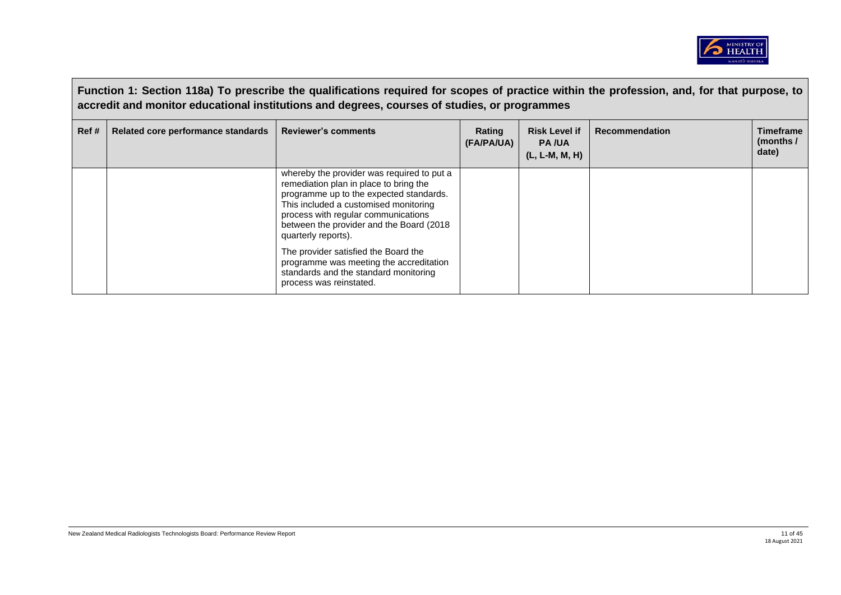

|      | Function 1: Section 118a) To prescribe the qualifications required for scopes of practice within the profession, and, for that purpose, to<br>accredit and monitor educational institutions and degrees, courses of studies, or programmes |                                                                                                                                                                                                                                                                                     |                      |                                                          |                       |                                          |  |
|------|--------------------------------------------------------------------------------------------------------------------------------------------------------------------------------------------------------------------------------------------|-------------------------------------------------------------------------------------------------------------------------------------------------------------------------------------------------------------------------------------------------------------------------------------|----------------------|----------------------------------------------------------|-----------------------|------------------------------------------|--|
| Ref# | Related core performance standards                                                                                                                                                                                                         | <b>Reviewer's comments</b>                                                                                                                                                                                                                                                          | Rating<br>(FA/PA/UA) | <b>Risk Level if</b><br><b>PA/UA</b><br>$(L, L-M, M, H)$ | <b>Recommendation</b> | <b>Timeframe</b><br>(months $/$<br>date) |  |
|      |                                                                                                                                                                                                                                            | whereby the provider was required to put a<br>remediation plan in place to bring the<br>programme up to the expected standards.<br>This included a customised monitoring<br>process with regular communications<br>between the provider and the Board (2018)<br>quarterly reports). |                      |                                                          |                       |                                          |  |
|      |                                                                                                                                                                                                                                            | The provider satisfied the Board the<br>programme was meeting the accreditation<br>standards and the standard monitoring<br>process was reinstated.                                                                                                                                 |                      |                                                          |                       |                                          |  |

 $\Box$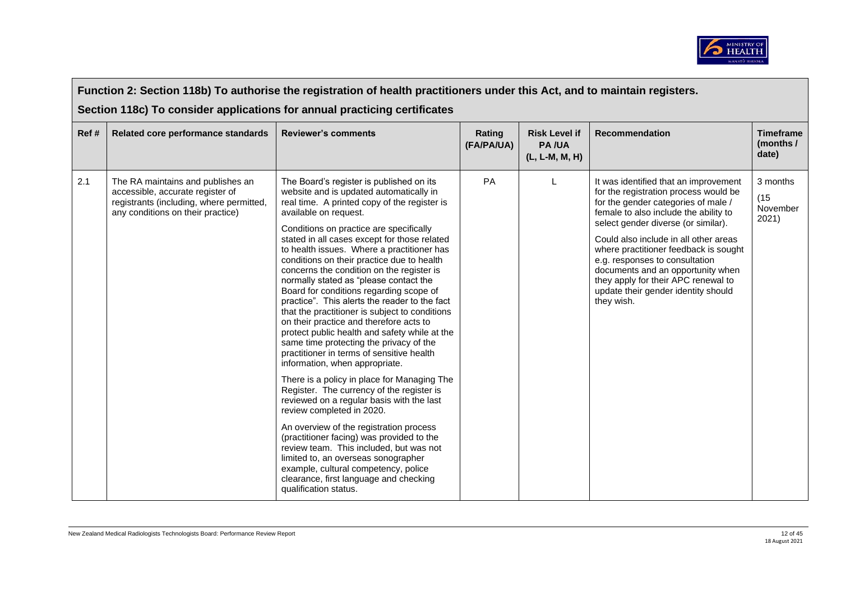

|      | Function 2: Section 118b) To authorise the registration of health practitioners under this Act, and to maintain registers.<br>Section 118c) To consider applications for annual practicing certificates |                                                                                                                                                                                                                                                                                                                                                                                                                                                                                                                                                                                                                                                                                                                                                                                                                                                                                                                                                                                                                                                                                                                                                                                                                                                                           |                      |                                                          |                                                                                                                                                                                                                                                                                                                                                                                                                                                            |                                        |  |  |
|------|---------------------------------------------------------------------------------------------------------------------------------------------------------------------------------------------------------|---------------------------------------------------------------------------------------------------------------------------------------------------------------------------------------------------------------------------------------------------------------------------------------------------------------------------------------------------------------------------------------------------------------------------------------------------------------------------------------------------------------------------------------------------------------------------------------------------------------------------------------------------------------------------------------------------------------------------------------------------------------------------------------------------------------------------------------------------------------------------------------------------------------------------------------------------------------------------------------------------------------------------------------------------------------------------------------------------------------------------------------------------------------------------------------------------------------------------------------------------------------------------|----------------------|----------------------------------------------------------|------------------------------------------------------------------------------------------------------------------------------------------------------------------------------------------------------------------------------------------------------------------------------------------------------------------------------------------------------------------------------------------------------------------------------------------------------------|----------------------------------------|--|--|
| Ref# | Related core performance standards                                                                                                                                                                      | <b>Reviewer's comments</b>                                                                                                                                                                                                                                                                                                                                                                                                                                                                                                                                                                                                                                                                                                                                                                                                                                                                                                                                                                                                                                                                                                                                                                                                                                                | Rating<br>(FA/PA/UA) | <b>Risk Level if</b><br><b>PA/UA</b><br>$(L, L-M, M, H)$ | <b>Recommendation</b>                                                                                                                                                                                                                                                                                                                                                                                                                                      | <b>Timeframe</b><br>(months /<br>date) |  |  |
| 2.1  | The RA maintains and publishes an<br>accessible, accurate register of<br>registrants (including, where permitted,<br>any conditions on their practice)                                                  | The Board's register is published on its<br>website and is updated automatically in<br>real time. A printed copy of the register is<br>available on request.<br>Conditions on practice are specifically<br>stated in all cases except for those related<br>to health issues. Where a practitioner has<br>conditions on their practice due to health<br>concerns the condition on the register is<br>normally stated as "please contact the<br>Board for conditions regarding scope of<br>practice". This alerts the reader to the fact<br>that the practitioner is subject to conditions<br>on their practice and therefore acts to<br>protect public health and safety while at the<br>same time protecting the privacy of the<br>practitioner in terms of sensitive health<br>information, when appropriate.<br>There is a policy in place for Managing The<br>Register. The currency of the register is<br>reviewed on a regular basis with the last<br>review completed in 2020.<br>An overview of the registration process<br>(practitioner facing) was provided to the<br>review team. This included, but was not<br>limited to, an overseas sonographer<br>example, cultural competency, police<br>clearance, first language and checking<br>qualification status. | PA                   | $\mathbf{L}$                                             | It was identified that an improvement<br>for the registration process would be<br>for the gender categories of male /<br>female to also include the ability to<br>select gender diverse (or similar).<br>Could also include in all other areas<br>where practitioner feedback is sought<br>e.g. responses to consultation<br>documents and an opportunity when<br>they apply for their APC renewal to<br>update their gender identity should<br>they wish. | 3 months<br>(15)<br>November<br>2021)  |  |  |

<u>г</u>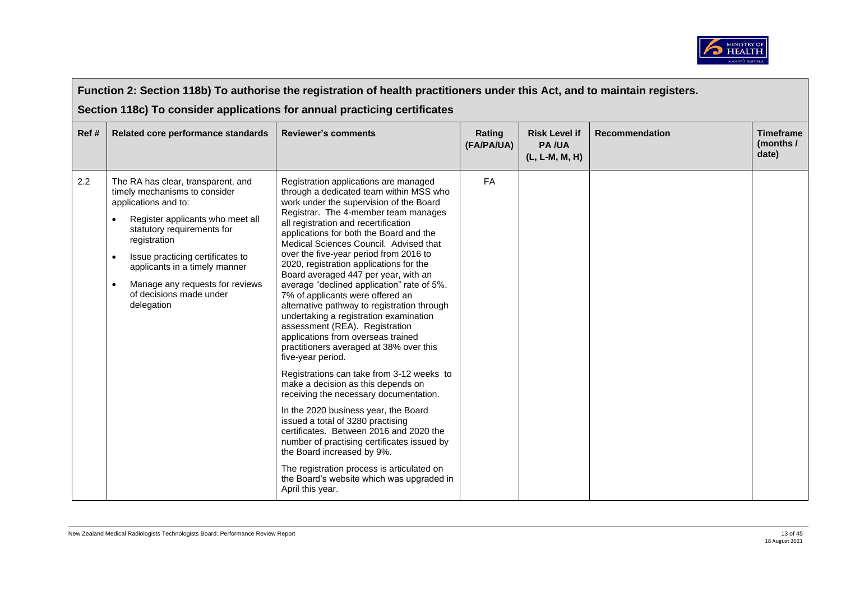

|       | Function 2: Section 118b) To authorise the registration of health practitioners under this Act, and to maintain registers.                                                                                                                                                                                                                                            |                                                                                                                                                                                                                                                                                                                                                                                                                                                                                                                                                                                                                                                                                                                                                                                                                                                                                                                                                                                                                                                                                                                                                                                                   |                      |                                                        |                       |                                        |  |  |
|-------|-----------------------------------------------------------------------------------------------------------------------------------------------------------------------------------------------------------------------------------------------------------------------------------------------------------------------------------------------------------------------|---------------------------------------------------------------------------------------------------------------------------------------------------------------------------------------------------------------------------------------------------------------------------------------------------------------------------------------------------------------------------------------------------------------------------------------------------------------------------------------------------------------------------------------------------------------------------------------------------------------------------------------------------------------------------------------------------------------------------------------------------------------------------------------------------------------------------------------------------------------------------------------------------------------------------------------------------------------------------------------------------------------------------------------------------------------------------------------------------------------------------------------------------------------------------------------------------|----------------------|--------------------------------------------------------|-----------------------|----------------------------------------|--|--|
|       | Section 118c) To consider applications for annual practicing certificates                                                                                                                                                                                                                                                                                             |                                                                                                                                                                                                                                                                                                                                                                                                                                                                                                                                                                                                                                                                                                                                                                                                                                                                                                                                                                                                                                                                                                                                                                                                   |                      |                                                        |                       |                                        |  |  |
| Ref # | Related core performance standards                                                                                                                                                                                                                                                                                                                                    | <b>Reviewer's comments</b>                                                                                                                                                                                                                                                                                                                                                                                                                                                                                                                                                                                                                                                                                                                                                                                                                                                                                                                                                                                                                                                                                                                                                                        | Rating<br>(FA/PA/UA) | <b>Risk Level if</b><br><b>PA/UA</b><br>(L, L-M, M, H) | <b>Recommendation</b> | <b>Timeframe</b><br>(months /<br>date) |  |  |
| 2.2   | The RA has clear, transparent, and<br>timely mechanisms to consider<br>applications and to:<br>Register applicants who meet all<br>$\bullet$<br>statutory requirements for<br>registration<br>Issue practicing certificates to<br>$\bullet$<br>applicants in a timely manner<br>Manage any requests for reviews<br>$\bullet$<br>of decisions made under<br>delegation | Registration applications are managed<br>through a dedicated team within MSS who<br>work under the supervision of the Board<br>Registrar. The 4-member team manages<br>all registration and recertification<br>applications for both the Board and the<br>Medical Sciences Council. Advised that<br>over the five-year period from 2016 to<br>2020, registration applications for the<br>Board averaged 447 per year, with an<br>average "declined application" rate of 5%.<br>7% of applicants were offered an<br>alternative pathway to registration through<br>undertaking a registration examination<br>assessment (REA). Registration<br>applications from overseas trained<br>practitioners averaged at 38% over this<br>five-year period.<br>Registrations can take from 3-12 weeks to<br>make a decision as this depends on<br>receiving the necessary documentation.<br>In the 2020 business year, the Board<br>issued a total of 3280 practising<br>certificates. Between 2016 and 2020 the<br>number of practising certificates issued by<br>the Board increased by 9%.<br>The registration process is articulated on<br>the Board's website which was upgraded in<br>April this year. | FA                   |                                                        |                       |                                        |  |  |

 $\blacksquare$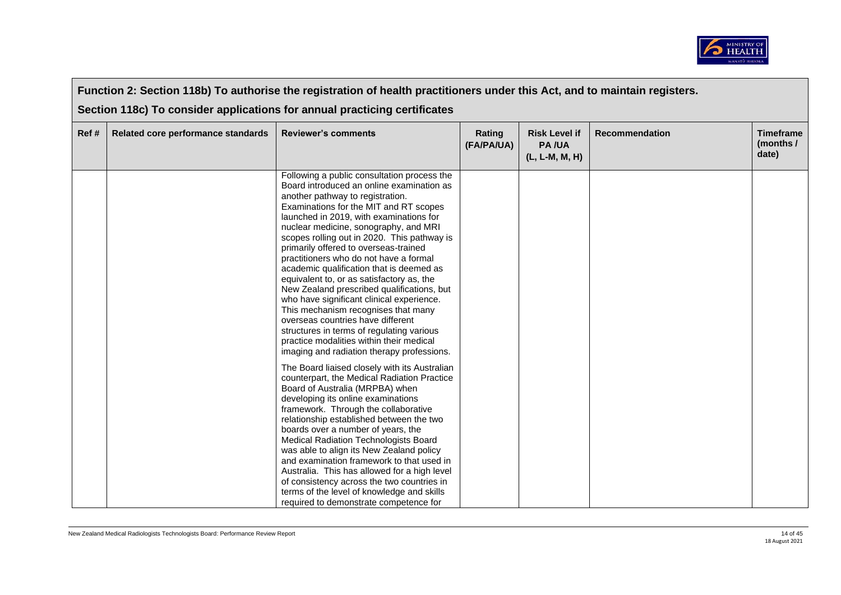

| Function 2: Section 118b) To authorise the registration of health practitioners under this Act, and to maintain registers. |                                                                           |                                                                                                                                                                                                                                                                                                                                                                                                                                                                                                                                                                                                                                                                                                                                                                                                                                                                                                                                                                                                                                                                                                                                                                                                                                                                                                                                                                                                                                       |                      |                                                        |                       |                                        |  |  |
|----------------------------------------------------------------------------------------------------------------------------|---------------------------------------------------------------------------|---------------------------------------------------------------------------------------------------------------------------------------------------------------------------------------------------------------------------------------------------------------------------------------------------------------------------------------------------------------------------------------------------------------------------------------------------------------------------------------------------------------------------------------------------------------------------------------------------------------------------------------------------------------------------------------------------------------------------------------------------------------------------------------------------------------------------------------------------------------------------------------------------------------------------------------------------------------------------------------------------------------------------------------------------------------------------------------------------------------------------------------------------------------------------------------------------------------------------------------------------------------------------------------------------------------------------------------------------------------------------------------------------------------------------------------|----------------------|--------------------------------------------------------|-----------------------|----------------------------------------|--|--|
|                                                                                                                            | Section 118c) To consider applications for annual practicing certificates |                                                                                                                                                                                                                                                                                                                                                                                                                                                                                                                                                                                                                                                                                                                                                                                                                                                                                                                                                                                                                                                                                                                                                                                                                                                                                                                                                                                                                                       |                      |                                                        |                       |                                        |  |  |
| Ref#                                                                                                                       | Related core performance standards                                        | <b>Reviewer's comments</b>                                                                                                                                                                                                                                                                                                                                                                                                                                                                                                                                                                                                                                                                                                                                                                                                                                                                                                                                                                                                                                                                                                                                                                                                                                                                                                                                                                                                            | Rating<br>(FA/PA/UA) | <b>Risk Level if</b><br><b>PA/UA</b><br>(L, L-M, M, H) | <b>Recommendation</b> | <b>Timeframe</b><br>(months /<br>date) |  |  |
|                                                                                                                            |                                                                           | Following a public consultation process the<br>Board introduced an online examination as<br>another pathway to registration.<br>Examinations for the MIT and RT scopes<br>launched in 2019, with examinations for<br>nuclear medicine, sonography, and MRI<br>scopes rolling out in 2020. This pathway is<br>primarily offered to overseas-trained<br>practitioners who do not have a formal<br>academic qualification that is deemed as<br>equivalent to, or as satisfactory as, the<br>New Zealand prescribed qualifications, but<br>who have significant clinical experience.<br>This mechanism recognises that many<br>overseas countries have different<br>structures in terms of regulating various<br>practice modalities within their medical<br>imaging and radiation therapy professions.<br>The Board liaised closely with its Australian<br>counterpart, the Medical Radiation Practice<br>Board of Australia (MRPBA) when<br>developing its online examinations<br>framework. Through the collaborative<br>relationship established between the two<br>boards over a number of years, the<br><b>Medical Radiation Technologists Board</b><br>was able to align its New Zealand policy<br>and examination framework to that used in<br>Australia. This has allowed for a high level<br>of consistency across the two countries in<br>terms of the level of knowledge and skills<br>required to demonstrate competence for |                      |                                                        |                       |                                        |  |  |

 $\blacksquare$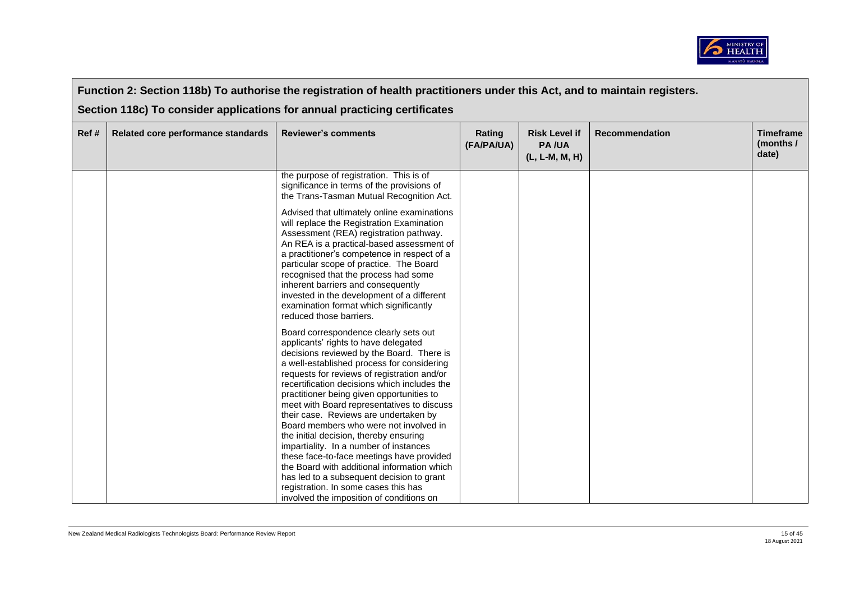

|       | Function 2: Section 118b) To authorise the registration of health practitioners under this Act, and to maintain registers. |                                                                                                                                                                                                                                                                                                                                                                                                                                                                                                                                                                                                                                                                                                                                                                        |                      |                                                        |                       |                                        |  |  |  |
|-------|----------------------------------------------------------------------------------------------------------------------------|------------------------------------------------------------------------------------------------------------------------------------------------------------------------------------------------------------------------------------------------------------------------------------------------------------------------------------------------------------------------------------------------------------------------------------------------------------------------------------------------------------------------------------------------------------------------------------------------------------------------------------------------------------------------------------------------------------------------------------------------------------------------|----------------------|--------------------------------------------------------|-----------------------|----------------------------------------|--|--|--|
|       | Section 118c) To consider applications for annual practicing certificates                                                  |                                                                                                                                                                                                                                                                                                                                                                                                                                                                                                                                                                                                                                                                                                                                                                        |                      |                                                        |                       |                                        |  |  |  |
| Ref # | Related core performance standards                                                                                         | <b>Reviewer's comments</b>                                                                                                                                                                                                                                                                                                                                                                                                                                                                                                                                                                                                                                                                                                                                             | Rating<br>(FA/PA/UA) | <b>Risk Level if</b><br><b>PA/UA</b><br>(L, L-M, M, H) | <b>Recommendation</b> | <b>Timeframe</b><br>(months /<br>date) |  |  |  |
|       |                                                                                                                            | the purpose of registration. This is of<br>significance in terms of the provisions of<br>the Trans-Tasman Mutual Recognition Act.                                                                                                                                                                                                                                                                                                                                                                                                                                                                                                                                                                                                                                      |                      |                                                        |                       |                                        |  |  |  |
|       |                                                                                                                            | Advised that ultimately online examinations<br>will replace the Registration Examination<br>Assessment (REA) registration pathway.<br>An REA is a practical-based assessment of<br>a practitioner's competence in respect of a<br>particular scope of practice. The Board<br>recognised that the process had some<br>inherent barriers and consequently<br>invested in the development of a different<br>examination format which significantly<br>reduced those barriers.                                                                                                                                                                                                                                                                                             |                      |                                                        |                       |                                        |  |  |  |
|       |                                                                                                                            | Board correspondence clearly sets out<br>applicants' rights to have delegated<br>decisions reviewed by the Board. There is<br>a well-established process for considering<br>requests for reviews of registration and/or<br>recertification decisions which includes the<br>practitioner being given opportunities to<br>meet with Board representatives to discuss<br>their case. Reviews are undertaken by<br>Board members who were not involved in<br>the initial decision, thereby ensuring<br>impartiality. In a number of instances<br>these face-to-face meetings have provided<br>the Board with additional information which<br>has led to a subsequent decision to grant<br>registration. In some cases this has<br>involved the imposition of conditions on |                      |                                                        |                       |                                        |  |  |  |

 $\Box$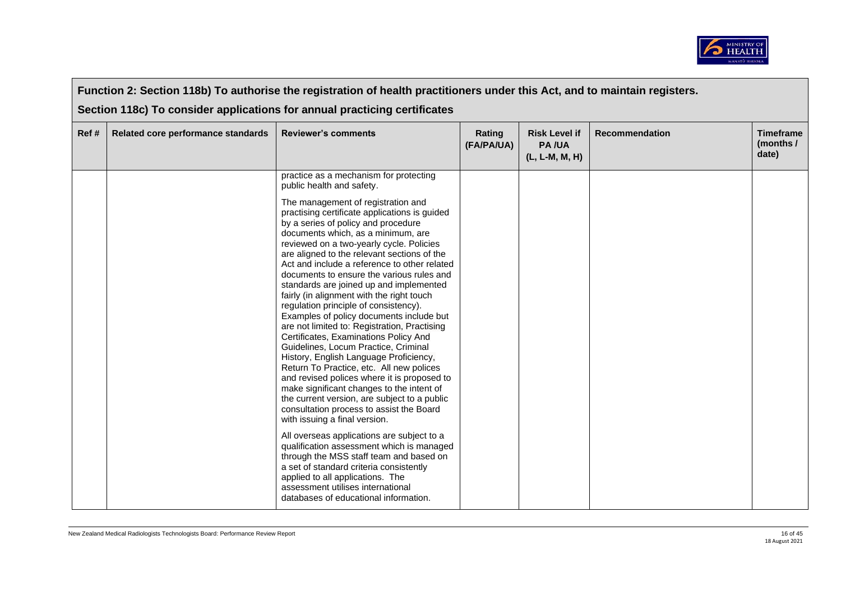

|      | Function 2: Section 118b) To authorise the registration of health practitioners under this Act, and to maintain registers. |                                                                                                                                                                                                                                                                                                                                                                                                                                                                                                                                                                                                                                                                                                                                                                                                                                                                                                                                                                                                                                                                                                                                                                                                                                                                                          |                      |                                                        |                       |                                        |  |  |
|------|----------------------------------------------------------------------------------------------------------------------------|------------------------------------------------------------------------------------------------------------------------------------------------------------------------------------------------------------------------------------------------------------------------------------------------------------------------------------------------------------------------------------------------------------------------------------------------------------------------------------------------------------------------------------------------------------------------------------------------------------------------------------------------------------------------------------------------------------------------------------------------------------------------------------------------------------------------------------------------------------------------------------------------------------------------------------------------------------------------------------------------------------------------------------------------------------------------------------------------------------------------------------------------------------------------------------------------------------------------------------------------------------------------------------------|----------------------|--------------------------------------------------------|-----------------------|----------------------------------------|--|--|
|      |                                                                                                                            | Section 118c) To consider applications for annual practicing certificates                                                                                                                                                                                                                                                                                                                                                                                                                                                                                                                                                                                                                                                                                                                                                                                                                                                                                                                                                                                                                                                                                                                                                                                                                |                      |                                                        |                       |                                        |  |  |
| Ref# | Related core performance standards                                                                                         | <b>Reviewer's comments</b>                                                                                                                                                                                                                                                                                                                                                                                                                                                                                                                                                                                                                                                                                                                                                                                                                                                                                                                                                                                                                                                                                                                                                                                                                                                               | Rating<br>(FA/PA/UA) | <b>Risk Level if</b><br><b>PA/UA</b><br>(L, L-M, M, H) | <b>Recommendation</b> | <b>Timeframe</b><br>(months /<br>date) |  |  |
|      |                                                                                                                            | practice as a mechanism for protecting<br>public health and safety.                                                                                                                                                                                                                                                                                                                                                                                                                                                                                                                                                                                                                                                                                                                                                                                                                                                                                                                                                                                                                                                                                                                                                                                                                      |                      |                                                        |                       |                                        |  |  |
|      |                                                                                                                            | The management of registration and<br>practising certificate applications is guided<br>by a series of policy and procedure<br>documents which, as a minimum, are<br>reviewed on a two-yearly cycle. Policies<br>are aligned to the relevant sections of the<br>Act and include a reference to other related<br>documents to ensure the various rules and<br>standards are joined up and implemented<br>fairly (in alignment with the right touch<br>regulation principle of consistency).<br>Examples of policy documents include but<br>are not limited to: Registration, Practising<br>Certificates, Examinations Policy And<br>Guidelines, Locum Practice, Criminal<br>History, English Language Proficiency,<br>Return To Practice, etc. All new polices<br>and revised polices where it is proposed to<br>make significant changes to the intent of<br>the current version, are subject to a public<br>consultation process to assist the Board<br>with issuing a final version.<br>All overseas applications are subject to a<br>qualification assessment which is managed<br>through the MSS staff team and based on<br>a set of standard criteria consistently<br>applied to all applications. The<br>assessment utilises international<br>databases of educational information. |                      |                                                        |                       |                                        |  |  |

 $\overline{\phantom{a}}$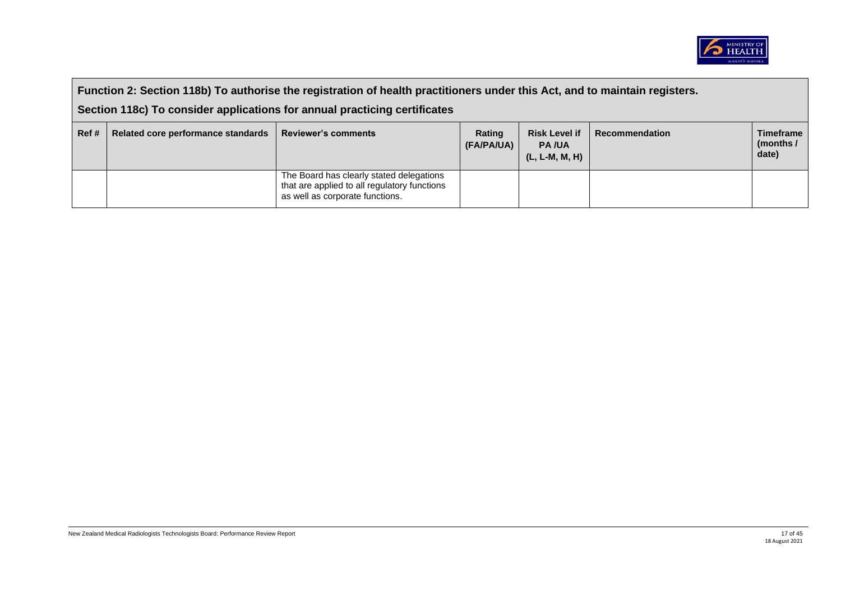

| Function 2: Section 118b) To authorise the registration of health practitioners under this Act, and to maintain registers.<br>Section 118c) To consider applications for annual practicing certificates |                                    |                                                                                                                             |                      |                                                          |                |                                          |  |
|---------------------------------------------------------------------------------------------------------------------------------------------------------------------------------------------------------|------------------------------------|-----------------------------------------------------------------------------------------------------------------------------|----------------------|----------------------------------------------------------|----------------|------------------------------------------|--|
| Ref#                                                                                                                                                                                                    | Related core performance standards | <b>Reviewer's comments</b>                                                                                                  | Rating<br>(FA/PA/UA) | <b>Risk Level if</b><br><b>PA/UA</b><br>$(L, L-M, M, H)$ | Recommendation | <b>Timeframe</b><br>(months $/$<br>date) |  |
|                                                                                                                                                                                                         |                                    | The Board has clearly stated delegations<br>that are applied to all regulatory functions<br>as well as corporate functions. |                      |                                                          |                |                                          |  |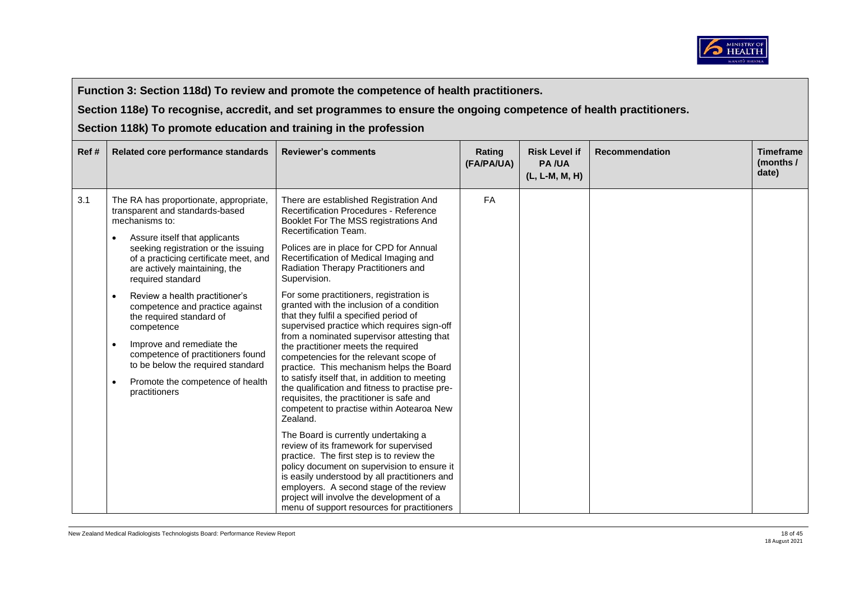

**Section 118e) To recognise, accredit, and set programmes to ensure the ongoing competence of health practitioners.** 

| Ref# | Related core performance standards                                                                                                                                                                                                                                                                                                                                                                                                                                                                                                                                                                | <b>Reviewer's comments</b>                                                                                                                                                                                                                                                                                                                                                                                                                                                                                                                                                                                                                                                                                                                                                                                                                                                                                                                                                                                                                                                                                                                                                                        | Rating<br>(FA/PA/UA) | <b>Risk Level if</b><br><b>PA/UA</b><br>(L, L-M, M, H) | <b>Recommendation</b> | <b>Timeframe</b><br>(months /<br>date) |
|------|---------------------------------------------------------------------------------------------------------------------------------------------------------------------------------------------------------------------------------------------------------------------------------------------------------------------------------------------------------------------------------------------------------------------------------------------------------------------------------------------------------------------------------------------------------------------------------------------------|---------------------------------------------------------------------------------------------------------------------------------------------------------------------------------------------------------------------------------------------------------------------------------------------------------------------------------------------------------------------------------------------------------------------------------------------------------------------------------------------------------------------------------------------------------------------------------------------------------------------------------------------------------------------------------------------------------------------------------------------------------------------------------------------------------------------------------------------------------------------------------------------------------------------------------------------------------------------------------------------------------------------------------------------------------------------------------------------------------------------------------------------------------------------------------------------------|----------------------|--------------------------------------------------------|-----------------------|----------------------------------------|
| 3.1  | The RA has proportionate, appropriate,<br>transparent and standards-based<br>mechanisms to:<br>Assure itself that applicants<br>$\bullet$<br>seeking registration or the issuing<br>of a practicing certificate meet, and<br>are actively maintaining, the<br>required standard<br>Review a health practitioner's<br>$\bullet$<br>competence and practice against<br>the required standard of<br>competence<br>Improve and remediate the<br>$\bullet$<br>competence of practitioners found<br>to be below the required standard<br>Promote the competence of health<br>$\bullet$<br>practitioners | There are established Registration And<br><b>Recertification Procedures - Reference</b><br>Booklet For The MSS registrations And<br>Recertification Team.<br>Polices are in place for CPD for Annual<br>Recertification of Medical Imaging and<br>Radiation Therapy Practitioners and<br>Supervision.<br>For some practitioners, registration is<br>granted with the inclusion of a condition<br>that they fulfil a specified period of<br>supervised practice which requires sign-off<br>from a nominated supervisor attesting that<br>the practitioner meets the required<br>competencies for the relevant scope of<br>practice. This mechanism helps the Board<br>to satisfy itself that, in addition to meeting<br>the qualification and fitness to practise pre-<br>requisites, the practitioner is safe and<br>competent to practise within Aotearoa New<br>Zealand.<br>The Board is currently undertaking a<br>review of its framework for supervised<br>practice. The first step is to review the<br>policy document on supervision to ensure it<br>is easily understood by all practitioners and<br>employers. A second stage of the review<br>project will involve the development of a | FA                   |                                                        |                       |                                        |
|      |                                                                                                                                                                                                                                                                                                                                                                                                                                                                                                                                                                                                   | menu of support resources for practitioners                                                                                                                                                                                                                                                                                                                                                                                                                                                                                                                                                                                                                                                                                                                                                                                                                                                                                                                                                                                                                                                                                                                                                       |                      |                                                        |                       |                                        |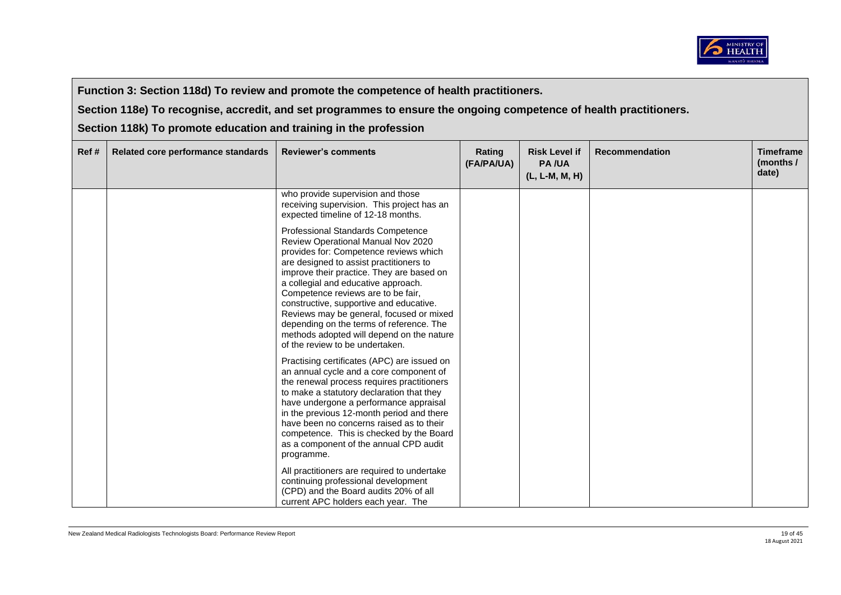

**Section 118e) To recognise, accredit, and set programmes to ensure the ongoing competence of health practitioners.** 

| Ref# | Related core performance standards | <b>Reviewer's comments</b>                                                                                                                                                                                                                                                                                                                                                                                                                                                                                     | Rating<br>(FA/PA/UA) | <b>Risk Level if</b><br><b>PA/UA</b><br>(L, L-M, M, H) | <b>Recommendation</b> | <b>Timeframe</b><br>(months /<br>date) |
|------|------------------------------------|----------------------------------------------------------------------------------------------------------------------------------------------------------------------------------------------------------------------------------------------------------------------------------------------------------------------------------------------------------------------------------------------------------------------------------------------------------------------------------------------------------------|----------------------|--------------------------------------------------------|-----------------------|----------------------------------------|
|      |                                    | who provide supervision and those<br>receiving supervision. This project has an<br>expected timeline of 12-18 months.                                                                                                                                                                                                                                                                                                                                                                                          |                      |                                                        |                       |                                        |
|      |                                    | Professional Standards Competence<br>Review Operational Manual Nov 2020<br>provides for: Competence reviews which<br>are designed to assist practitioners to<br>improve their practice. They are based on<br>a collegial and educative approach.<br>Competence reviews are to be fair,<br>constructive, supportive and educative.<br>Reviews may be general, focused or mixed<br>depending on the terms of reference. The<br>methods adopted will depend on the nature<br>of the review to be undertaken.      |                      |                                                        |                       |                                        |
|      |                                    | Practising certificates (APC) are issued on<br>an annual cycle and a core component of<br>the renewal process requires practitioners<br>to make a statutory declaration that they<br>have undergone a performance appraisal<br>in the previous 12-month period and there<br>have been no concerns raised as to their<br>competence. This is checked by the Board<br>as a component of the annual CPD audit<br>programme.<br>All practitioners are required to undertake<br>continuing professional development |                      |                                                        |                       |                                        |
|      |                                    | (CPD) and the Board audits 20% of all<br>current APC holders each year. The                                                                                                                                                                                                                                                                                                                                                                                                                                    |                      |                                                        |                       |                                        |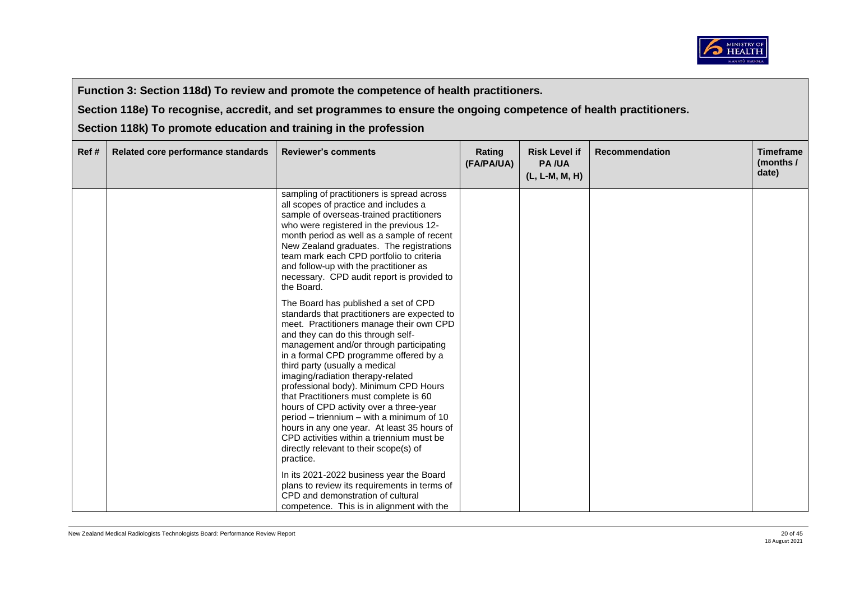

**Section 118e) To recognise, accredit, and set programmes to ensure the ongoing competence of health practitioners.** 

| Ref# | Related core performance standards | <b>Reviewer's comments</b>                                                                                                                                                                                                                                                                                                                                                                                                                                                                                                                                                                                                                                       | Rating<br>(FA/PA/UA) | <b>Risk Level if</b><br><b>PA/UA</b><br>(L, L-M, M, H) | <b>Recommendation</b> | <b>Timeframe</b><br>(months /<br>date) |
|------|------------------------------------|------------------------------------------------------------------------------------------------------------------------------------------------------------------------------------------------------------------------------------------------------------------------------------------------------------------------------------------------------------------------------------------------------------------------------------------------------------------------------------------------------------------------------------------------------------------------------------------------------------------------------------------------------------------|----------------------|--------------------------------------------------------|-----------------------|----------------------------------------|
|      |                                    | sampling of practitioners is spread across<br>all scopes of practice and includes a<br>sample of overseas-trained practitioners<br>who were registered in the previous 12-<br>month period as well as a sample of recent<br>New Zealand graduates. The registrations<br>team mark each CPD portfolio to criteria<br>and follow-up with the practitioner as<br>necessary. CPD audit report is provided to<br>the Board.                                                                                                                                                                                                                                           |                      |                                                        |                       |                                        |
|      |                                    | The Board has published a set of CPD<br>standards that practitioners are expected to<br>meet. Practitioners manage their own CPD<br>and they can do this through self-<br>management and/or through participating<br>in a formal CPD programme offered by a<br>third party (usually a medical<br>imaging/radiation therapy-related<br>professional body). Minimum CPD Hours<br>that Practitioners must complete is 60<br>hours of CPD activity over a three-year<br>period – triennium – with a minimum of 10<br>hours in any one year. At least 35 hours of<br>CPD activities within a triennium must be<br>directly relevant to their scope(s) of<br>practice. |                      |                                                        |                       |                                        |
|      |                                    | In its 2021-2022 business year the Board<br>plans to review its requirements in terms of<br>CPD and demonstration of cultural<br>competence. This is in alignment with the                                                                                                                                                                                                                                                                                                                                                                                                                                                                                       |                      |                                                        |                       |                                        |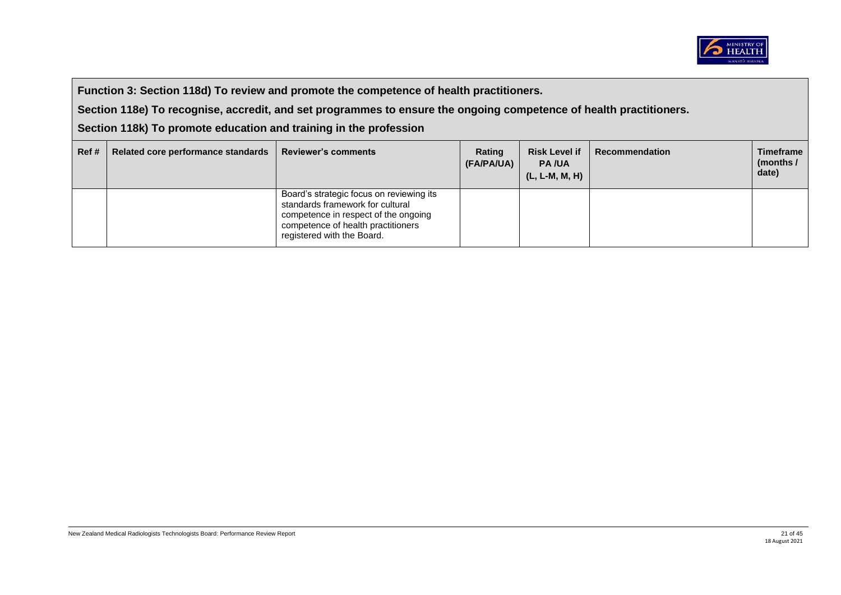

**Section 118e) To recognise, accredit, and set programmes to ensure the ongoing competence of health practitioners.** 

| Ref# | Related core performance standards | <b>Reviewer's comments</b>                                                                                                                                                               | Rating<br>(FA/PA/UA) | <b>Risk Level if</b><br><b>PA/UA</b><br>(L, L-M, M, H) | <b>Recommendation</b> | <b>Timeframe</b><br>(months /<br>date) |
|------|------------------------------------|------------------------------------------------------------------------------------------------------------------------------------------------------------------------------------------|----------------------|--------------------------------------------------------|-----------------------|----------------------------------------|
|      |                                    | Board's strategic focus on reviewing its<br>standards framework for cultural<br>competence in respect of the ongoing<br>competence of health practitioners<br>registered with the Board. |                      |                                                        |                       |                                        |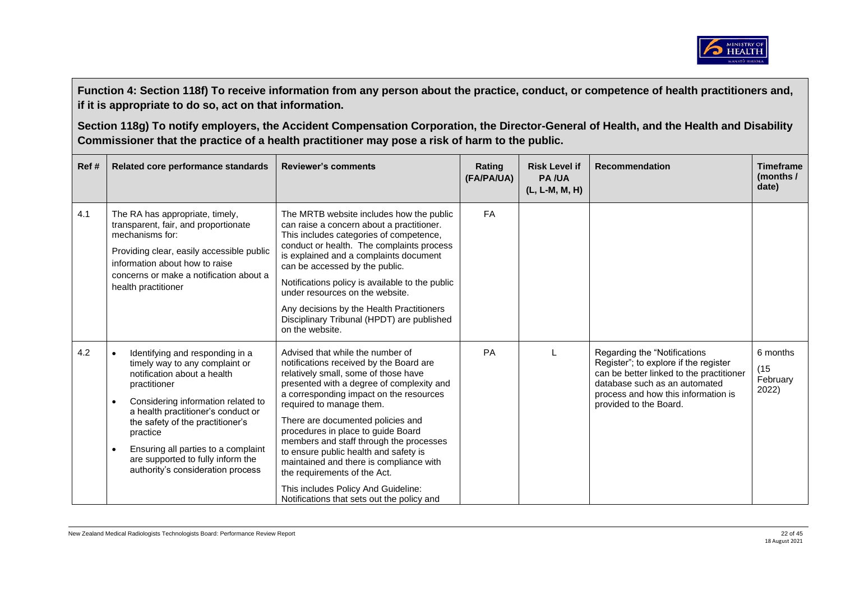

| Ref # | Related core performance standards                                                                                                                                                                                                                                                                                                                                                                   | <b>Reviewer's comments</b>                                                                                                                                                                                                                                                                                                                                                                                                                                                                                                                                             | Rating<br>(FA/PA/UA) | <b>Risk Level if</b><br><b>PA/UA</b><br>$(L, L-M, M, H)$ | <b>Recommendation</b>                                                                                                                                                                                                | <b>Timeframe</b><br>(months /<br>date) |
|-------|------------------------------------------------------------------------------------------------------------------------------------------------------------------------------------------------------------------------------------------------------------------------------------------------------------------------------------------------------------------------------------------------------|------------------------------------------------------------------------------------------------------------------------------------------------------------------------------------------------------------------------------------------------------------------------------------------------------------------------------------------------------------------------------------------------------------------------------------------------------------------------------------------------------------------------------------------------------------------------|----------------------|----------------------------------------------------------|----------------------------------------------------------------------------------------------------------------------------------------------------------------------------------------------------------------------|----------------------------------------|
| 4.1   | The RA has appropriate, timely,<br>transparent, fair, and proportionate<br>mechanisms for:<br>Providing clear, easily accessible public<br>information about how to raise<br>concerns or make a notification about a<br>health practitioner                                                                                                                                                          | The MRTB website includes how the public<br>can raise a concern about a practitioner.<br>This includes categories of competence,<br>conduct or health. The complaints process<br>is explained and a complaints document<br>can be accessed by the public.<br>Notifications policy is available to the public<br>under resources on the website.<br>Any decisions by the Health Practitioners<br>Disciplinary Tribunal (HPDT) are published<br>on the website.                                                                                                          | FA                   |                                                          |                                                                                                                                                                                                                      |                                        |
| 4.2   | Identifying and responding in a<br>$\bullet$<br>timely way to any complaint or<br>notification about a health<br>practitioner<br>Considering information related to<br>$\bullet$<br>a health practitioner's conduct or<br>the safety of the practitioner's<br>practice<br>Ensuring all parties to a complaint<br>$\bullet$<br>are supported to fully inform the<br>authority's consideration process | Advised that while the number of<br>notifications received by the Board are<br>relatively small, some of those have<br>presented with a degree of complexity and<br>a corresponding impact on the resources<br>required to manage them.<br>There are documented policies and<br>procedures in place to guide Board<br>members and staff through the processes<br>to ensure public health and safety is<br>maintained and there is compliance with<br>the requirements of the Act.<br>This includes Policy And Guideline:<br>Notifications that sets out the policy and | PA                   |                                                          | Regarding the "Notifications"<br>Register"; to explore if the register<br>can be better linked to the practitioner<br>database such as an automated<br>process and how this information is<br>provided to the Board. | 6 months<br>(15)<br>February<br>2022)  |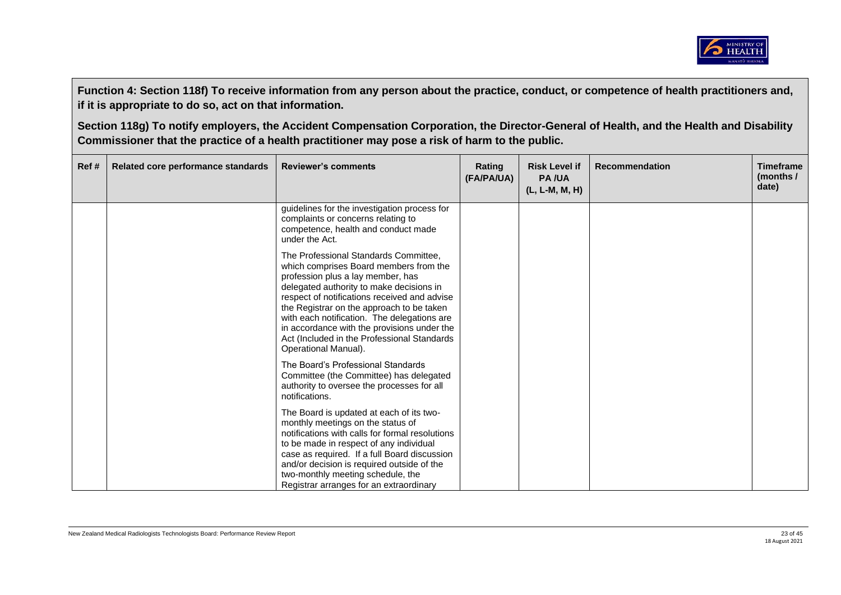

| Ref# | Related core performance standards | <b>Reviewer's comments</b>                                                                                                                                                                                                                                                                                                                                                                                                         | Rating<br>(FA/PA/UA) | <b>Risk Level if</b><br><b>PA/UA</b><br>(L, L-M, M, H) | <b>Recommendation</b> | <b>Timeframe</b><br>(months $/$<br>date) |
|------|------------------------------------|------------------------------------------------------------------------------------------------------------------------------------------------------------------------------------------------------------------------------------------------------------------------------------------------------------------------------------------------------------------------------------------------------------------------------------|----------------------|--------------------------------------------------------|-----------------------|------------------------------------------|
|      |                                    | guidelines for the investigation process for<br>complaints or concerns relating to<br>competence, health and conduct made<br>under the Act.                                                                                                                                                                                                                                                                                        |                      |                                                        |                       |                                          |
|      |                                    | The Professional Standards Committee,<br>which comprises Board members from the<br>profession plus a lay member, has<br>delegated authority to make decisions in<br>respect of notifications received and advise<br>the Registrar on the approach to be taken<br>with each notification. The delegations are<br>in accordance with the provisions under the<br>Act (Included in the Professional Standards<br>Operational Manual). |                      |                                                        |                       |                                          |
|      |                                    | The Board's Professional Standards<br>Committee (the Committee) has delegated<br>authority to oversee the processes for all<br>notifications.                                                                                                                                                                                                                                                                                      |                      |                                                        |                       |                                          |
|      |                                    | The Board is updated at each of its two-<br>monthly meetings on the status of<br>notifications with calls for formal resolutions<br>to be made in respect of any individual<br>case as required. If a full Board discussion<br>and/or decision is required outside of the<br>two-monthly meeting schedule, the<br>Registrar arranges for an extraordinary                                                                          |                      |                                                        |                       |                                          |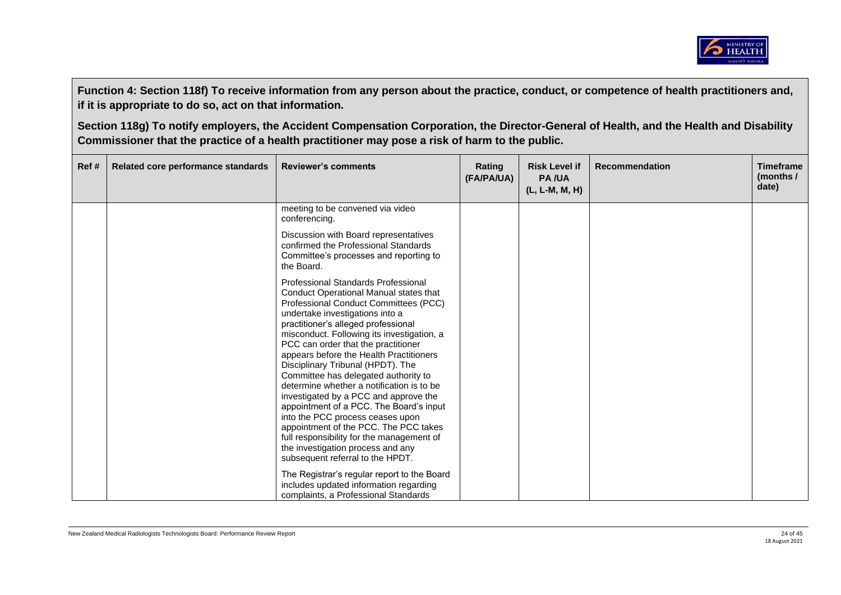

| Ref # | Related core performance standards | <b>Reviewer's comments</b>                                                                                                                                                                                                                                                                                                                                                                                                                                                                                                                                                                                                                                                                                                                                                                                                                                                         | Rating<br>(FA/PA/UA) | <b>Risk Level if</b><br><b>PA/UA</b><br>$(L, L-M, M, H)$ | <b>Recommendation</b> | <b>Timeframe</b><br>(months /<br>date) |
|-------|------------------------------------|------------------------------------------------------------------------------------------------------------------------------------------------------------------------------------------------------------------------------------------------------------------------------------------------------------------------------------------------------------------------------------------------------------------------------------------------------------------------------------------------------------------------------------------------------------------------------------------------------------------------------------------------------------------------------------------------------------------------------------------------------------------------------------------------------------------------------------------------------------------------------------|----------------------|----------------------------------------------------------|-----------------------|----------------------------------------|
|       |                                    | meeting to be convened via video<br>conferencing.                                                                                                                                                                                                                                                                                                                                                                                                                                                                                                                                                                                                                                                                                                                                                                                                                                  |                      |                                                          |                       |                                        |
|       |                                    | Discussion with Board representatives<br>confirmed the Professional Standards<br>Committee's processes and reporting to<br>the Board.                                                                                                                                                                                                                                                                                                                                                                                                                                                                                                                                                                                                                                                                                                                                              |                      |                                                          |                       |                                        |
|       |                                    | Professional Standards Professional<br>Conduct Operational Manual states that<br>Professional Conduct Committees (PCC)<br>undertake investigations into a<br>practitioner's alleged professional<br>misconduct. Following its investigation, a<br>PCC can order that the practitioner<br>appears before the Health Practitioners<br>Disciplinary Tribunal (HPDT). The<br>Committee has delegated authority to<br>determine whether a notification is to be<br>investigated by a PCC and approve the<br>appointment of a PCC. The Board's input<br>into the PCC process ceases upon<br>appointment of the PCC. The PCC takes<br>full responsibility for the management of<br>the investigation process and any<br>subsequent referral to the HPDT.<br>The Registrar's regular report to the Board<br>includes updated information regarding<br>complaints, a Professional Standards |                      |                                                          |                       |                                        |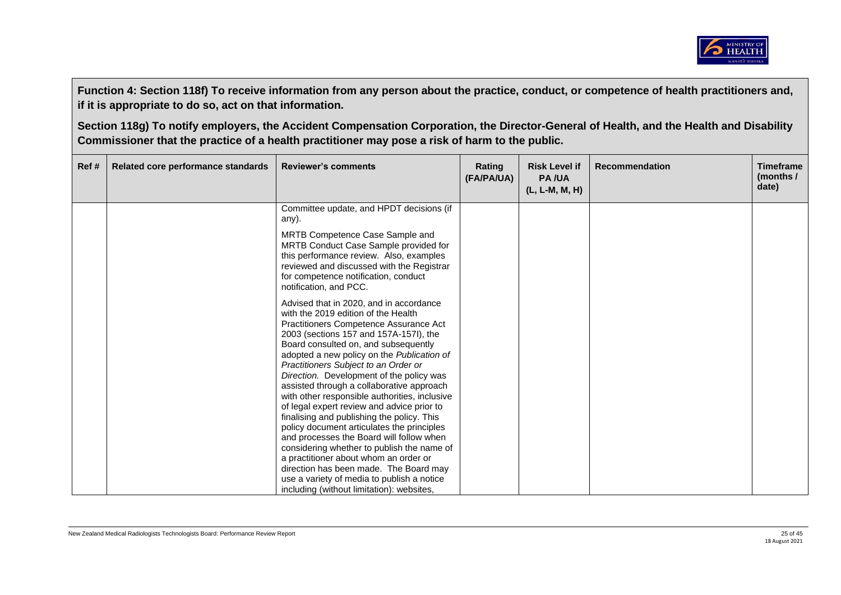

| Ref# | Related core performance standards | <b>Reviewer's comments</b>                                                                                                                                                                                                                                                                                                                                                                                                                                                                                                                                                                                                                                                                                              | Rating<br>(FA/PA/UA) | <b>Risk Level if</b><br><b>PA/UA</b><br>(L, L-M, M, H) | <b>Recommendation</b> | <b>Timeframe</b><br>(months $/$<br>date) |
|------|------------------------------------|-------------------------------------------------------------------------------------------------------------------------------------------------------------------------------------------------------------------------------------------------------------------------------------------------------------------------------------------------------------------------------------------------------------------------------------------------------------------------------------------------------------------------------------------------------------------------------------------------------------------------------------------------------------------------------------------------------------------------|----------------------|--------------------------------------------------------|-----------------------|------------------------------------------|
|      |                                    | Committee update, and HPDT decisions (if<br>any).                                                                                                                                                                                                                                                                                                                                                                                                                                                                                                                                                                                                                                                                       |                      |                                                        |                       |                                          |
|      |                                    | MRTB Competence Case Sample and<br>MRTB Conduct Case Sample provided for<br>this performance review. Also, examples<br>reviewed and discussed with the Registrar<br>for competence notification, conduct<br>notification, and PCC.                                                                                                                                                                                                                                                                                                                                                                                                                                                                                      |                      |                                                        |                       |                                          |
|      |                                    | Advised that in 2020, and in accordance<br>with the 2019 edition of the Health<br>Practitioners Competence Assurance Act<br>2003 (sections 157 and 157A-157I), the<br>Board consulted on, and subsequently<br>adopted a new policy on the Publication of<br>Practitioners Subject to an Order or<br>Direction. Development of the policy was<br>assisted through a collaborative approach<br>with other responsible authorities, inclusive<br>of legal expert review and advice prior to<br>finalising and publishing the policy. This<br>policy document articulates the principles<br>and processes the Board will follow when<br>considering whether to publish the name of<br>a practitioner about whom an order or |                      |                                                        |                       |                                          |
|      |                                    | direction has been made. The Board may<br>use a variety of media to publish a notice<br>including (without limitation): websites,                                                                                                                                                                                                                                                                                                                                                                                                                                                                                                                                                                                       |                      |                                                        |                       |                                          |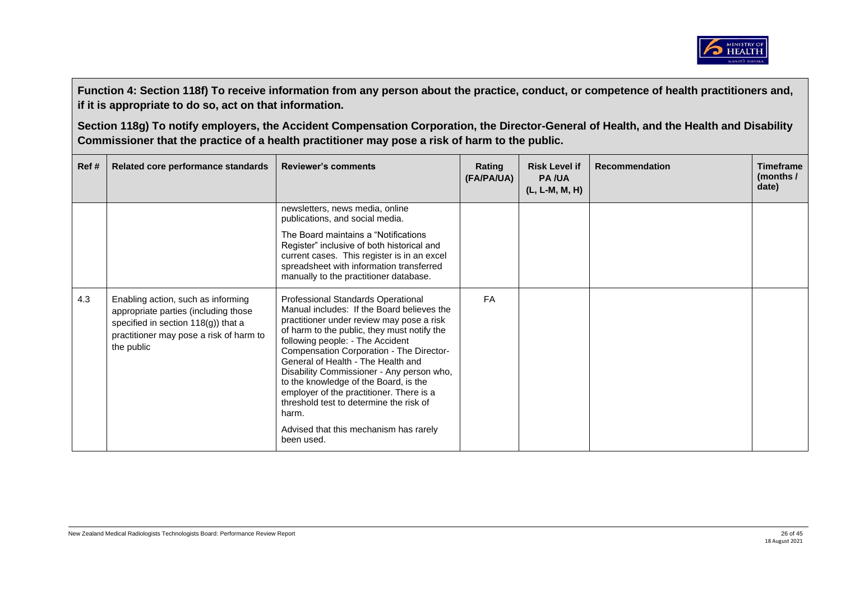

| Ref# | Related core performance standards                                                                                                                                         | <b>Reviewer's comments</b>                                                                                                                                                                                                                                                                                                                                                                                                                                                                                                                       | Rating<br>(FA/PA/UA) | <b>Risk Level if</b><br><b>PA/UA</b><br>$(L, L-M, M, H)$ | Recommendation | <b>Timeframe</b><br>(months /<br>date) |
|------|----------------------------------------------------------------------------------------------------------------------------------------------------------------------------|--------------------------------------------------------------------------------------------------------------------------------------------------------------------------------------------------------------------------------------------------------------------------------------------------------------------------------------------------------------------------------------------------------------------------------------------------------------------------------------------------------------------------------------------------|----------------------|----------------------------------------------------------|----------------|----------------------------------------|
|      |                                                                                                                                                                            | newsletters, news media, online<br>publications, and social media.                                                                                                                                                                                                                                                                                                                                                                                                                                                                               |                      |                                                          |                |                                        |
|      |                                                                                                                                                                            | The Board maintains a "Notifications"<br>Register" inclusive of both historical and<br>current cases. This register is in an excel<br>spreadsheet with information transferred<br>manually to the practitioner database.                                                                                                                                                                                                                                                                                                                         |                      |                                                          |                |                                        |
| 4.3  | Enabling action, such as informing<br>appropriate parties (including those<br>specified in section 118(g)) that a<br>practitioner may pose a risk of harm to<br>the public | Professional Standards Operational<br>Manual includes: If the Board believes the<br>practitioner under review may pose a risk<br>of harm to the public, they must notify the<br>following people: - The Accident<br>Compensation Corporation - The Director-<br>General of Health - The Health and<br>Disability Commissioner - Any person who,<br>to the knowledge of the Board, is the<br>employer of the practitioner. There is a<br>threshold test to determine the risk of<br>harm.<br>Advised that this mechanism has rarely<br>been used. | <b>FA</b>            |                                                          |                |                                        |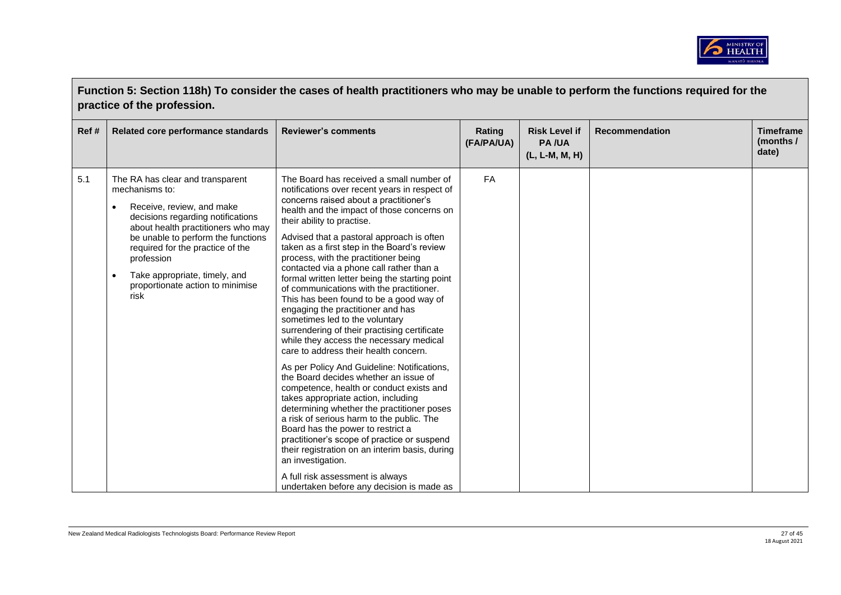

| Function 5: Section 118h) To consider the cases of health practitioners who may be unable to perform the functions required for the<br>practice of the profession. |                                                                                                                                                                                                                                                                                                                                                           |                                                                                                                                                                                                                                                                                                                                                                                                                                                                                                                                                                                                                                                                                                                                                                                                                                                                                                                                                                                                                                                                                                                                                                                                                                                                       |                      |                                                        |                       |                                        |  |
|--------------------------------------------------------------------------------------------------------------------------------------------------------------------|-----------------------------------------------------------------------------------------------------------------------------------------------------------------------------------------------------------------------------------------------------------------------------------------------------------------------------------------------------------|-----------------------------------------------------------------------------------------------------------------------------------------------------------------------------------------------------------------------------------------------------------------------------------------------------------------------------------------------------------------------------------------------------------------------------------------------------------------------------------------------------------------------------------------------------------------------------------------------------------------------------------------------------------------------------------------------------------------------------------------------------------------------------------------------------------------------------------------------------------------------------------------------------------------------------------------------------------------------------------------------------------------------------------------------------------------------------------------------------------------------------------------------------------------------------------------------------------------------------------------------------------------------|----------------------|--------------------------------------------------------|-----------------------|----------------------------------------|--|
| Ref#                                                                                                                                                               | Related core performance standards                                                                                                                                                                                                                                                                                                                        | <b>Reviewer's comments</b>                                                                                                                                                                                                                                                                                                                                                                                                                                                                                                                                                                                                                                                                                                                                                                                                                                                                                                                                                                                                                                                                                                                                                                                                                                            | Rating<br>(FA/PA/UA) | <b>Risk Level if</b><br><b>PA/UA</b><br>(L, L-M, M, H) | <b>Recommendation</b> | <b>Timeframe</b><br>(months /<br>date) |  |
| 5.1                                                                                                                                                                | The RA has clear and transparent<br>mechanisms to:<br>Receive, review, and make<br>$\bullet$<br>decisions regarding notifications<br>about health practitioners who may<br>be unable to perform the functions<br>required for the practice of the<br>profession<br>Take appropriate, timely, and<br>$\bullet$<br>proportionate action to minimise<br>risk | The Board has received a small number of<br>notifications over recent years in respect of<br>concerns raised about a practitioner's<br>health and the impact of those concerns on<br>their ability to practise.<br>Advised that a pastoral approach is often<br>taken as a first step in the Board's review<br>process, with the practitioner being<br>contacted via a phone call rather than a<br>formal written letter being the starting point<br>of communications with the practitioner.<br>This has been found to be a good way of<br>engaging the practitioner and has<br>sometimes led to the voluntary<br>surrendering of their practising certificate<br>while they access the necessary medical<br>care to address their health concern.<br>As per Policy And Guideline: Notifications,<br>the Board decides whether an issue of<br>competence, health or conduct exists and<br>takes appropriate action, including<br>determining whether the practitioner poses<br>a risk of serious harm to the public. The<br>Board has the power to restrict a<br>practitioner's scope of practice or suspend<br>their registration on an interim basis, during<br>an investigation.<br>A full risk assessment is always<br>undertaken before any decision is made as | FA                   |                                                        |                       |                                        |  |

 $\blacksquare$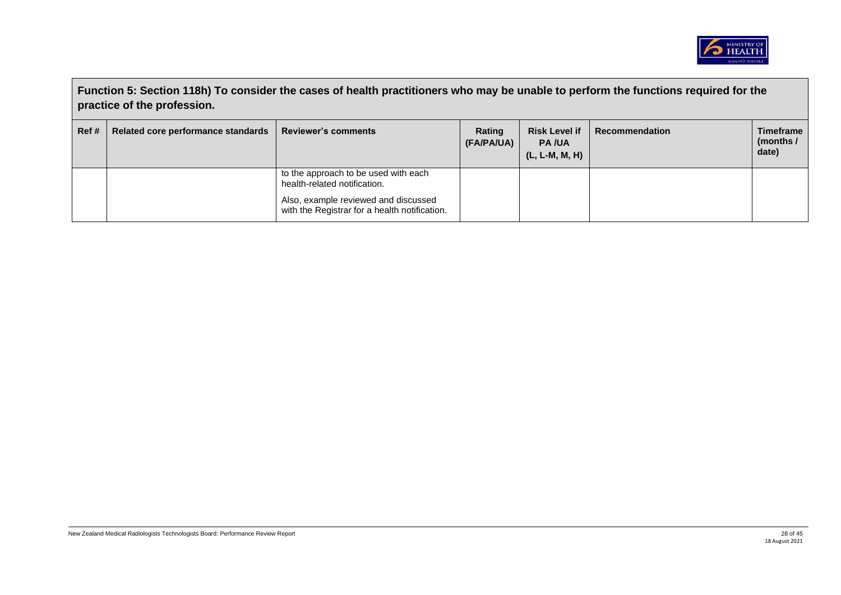

|      | Function 5: Section 118h) To consider the cases of health practitioners who may be unable to perform the functions required for the<br>practice of the profession. |                                                                                       |                      |                                                        |                |                                        |  |  |
|------|--------------------------------------------------------------------------------------------------------------------------------------------------------------------|---------------------------------------------------------------------------------------|----------------------|--------------------------------------------------------|----------------|----------------------------------------|--|--|
| Ref# | Related core performance standards                                                                                                                                 | <b>Reviewer's comments</b>                                                            | Rating<br>(FA/PA/UA) | <b>Risk Level if</b><br><b>PA/UA</b><br>(L, L-M, M, H) | Recommendation | <b>Timeframe</b><br>(months /<br>date) |  |  |
|      |                                                                                                                                                                    | to the approach to be used with each<br>health-related notification.                  |                      |                                                        |                |                                        |  |  |
|      |                                                                                                                                                                    | Also, example reviewed and discussed<br>with the Registrar for a health notification. |                      |                                                        |                |                                        |  |  |

 $\blacksquare$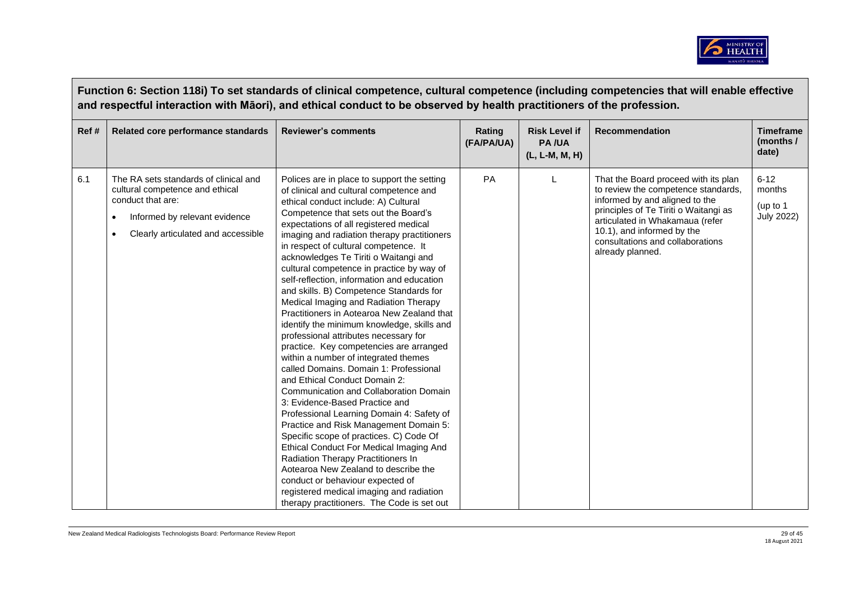

|       | Function 6: Section 118i) To set standards of clinical competence, cultural competence (including competencies that will enable effective<br>and respectful interaction with Māori), and ethical conduct to be observed by health practitioners of the profession. |                                                                                                                                                                                                                                                                                                                                                                                                                                                                                                                                                                                                                                                                                                                                                                                                                                                                                                                                                                                                                                                                                                                                                                                                                                                                                                          |                      |                                                        |                                                                                                                                                                                                                                                                                 |                                                     |  |  |  |
|-------|--------------------------------------------------------------------------------------------------------------------------------------------------------------------------------------------------------------------------------------------------------------------|----------------------------------------------------------------------------------------------------------------------------------------------------------------------------------------------------------------------------------------------------------------------------------------------------------------------------------------------------------------------------------------------------------------------------------------------------------------------------------------------------------------------------------------------------------------------------------------------------------------------------------------------------------------------------------------------------------------------------------------------------------------------------------------------------------------------------------------------------------------------------------------------------------------------------------------------------------------------------------------------------------------------------------------------------------------------------------------------------------------------------------------------------------------------------------------------------------------------------------------------------------------------------------------------------------|----------------------|--------------------------------------------------------|---------------------------------------------------------------------------------------------------------------------------------------------------------------------------------------------------------------------------------------------------------------------------------|-----------------------------------------------------|--|--|--|
| Ref # | Related core performance standards                                                                                                                                                                                                                                 | <b>Reviewer's comments</b>                                                                                                                                                                                                                                                                                                                                                                                                                                                                                                                                                                                                                                                                                                                                                                                                                                                                                                                                                                                                                                                                                                                                                                                                                                                                               | Rating<br>(FA/PA/UA) | <b>Risk Level if</b><br><b>PA/UA</b><br>(L, L-M, M, H) | <b>Recommendation</b>                                                                                                                                                                                                                                                           | <b>Timeframe</b><br>(months /<br>date)              |  |  |  |
| 6.1   | The RA sets standards of clinical and<br>cultural competence and ethical<br>conduct that are:<br>Informed by relevant evidence<br>Clearly articulated and accessible                                                                                               | Polices are in place to support the setting<br>of clinical and cultural competence and<br>ethical conduct include: A) Cultural<br>Competence that sets out the Board's<br>expectations of all registered medical<br>imaging and radiation therapy practitioners<br>in respect of cultural competence. It<br>acknowledges Te Tiriti o Waitangi and<br>cultural competence in practice by way of<br>self-reflection, information and education<br>and skills. B) Competence Standards for<br>Medical Imaging and Radiation Therapy<br>Practitioners in Aotearoa New Zealand that<br>identify the minimum knowledge, skills and<br>professional attributes necessary for<br>practice. Key competencies are arranged<br>within a number of integrated themes<br>called Domains, Domain 1: Professional<br>and Ethical Conduct Domain 2:<br>Communication and Collaboration Domain<br>3: Evidence-Based Practice and<br>Professional Learning Domain 4: Safety of<br>Practice and Risk Management Domain 5:<br>Specific scope of practices. C) Code Of<br>Ethical Conduct For Medical Imaging And<br>Radiation Therapy Practitioners In<br>Aotearoa New Zealand to describe the<br>conduct or behaviour expected of<br>registered medical imaging and radiation<br>therapy practitioners. The Code is set out | <b>PA</b>            |                                                        | That the Board proceed with its plan<br>to review the competence standards,<br>informed by and aligned to the<br>principles of Te Tiriti o Waitangi as<br>articulated in Whakamaua (refer<br>10.1), and informed by the<br>consultations and collaborations<br>already planned. | $6 - 12$<br>months<br>(up to 1<br><b>July 2022)</b> |  |  |  |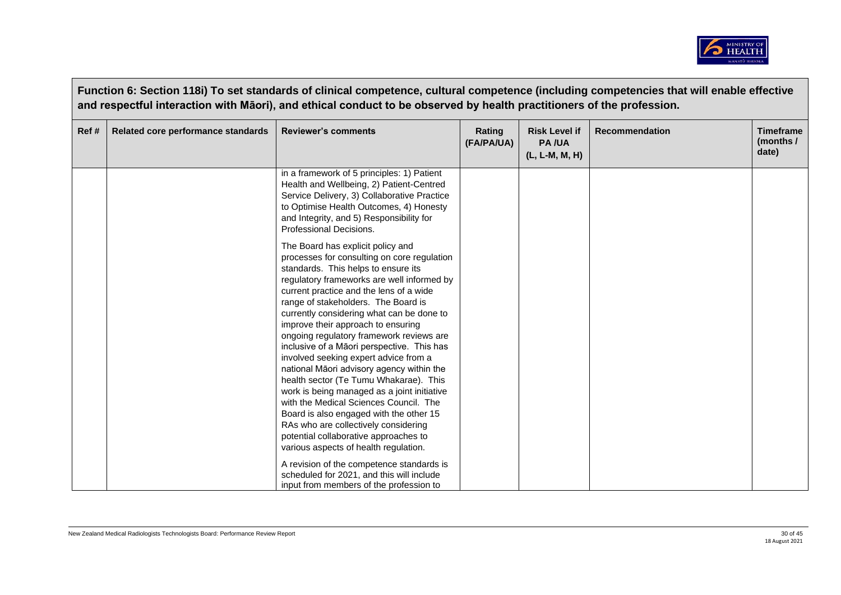

|       | Function 6: Section 118i) To set standards of clinical competence, cultural competence (including competencies that will enable effective<br>and respectful interaction with Māori), and ethical conduct to be observed by health practitioners of the profession. |                                                                                                                                                                                                                                                                                                                                                                                                                                                                                                                                                                                                                                                                                                                                                                                                                                    |                      |                                                        |                       |                                        |  |  |
|-------|--------------------------------------------------------------------------------------------------------------------------------------------------------------------------------------------------------------------------------------------------------------------|------------------------------------------------------------------------------------------------------------------------------------------------------------------------------------------------------------------------------------------------------------------------------------------------------------------------------------------------------------------------------------------------------------------------------------------------------------------------------------------------------------------------------------------------------------------------------------------------------------------------------------------------------------------------------------------------------------------------------------------------------------------------------------------------------------------------------------|----------------------|--------------------------------------------------------|-----------------------|----------------------------------------|--|--|
| Ref # | Related core performance standards                                                                                                                                                                                                                                 | <b>Reviewer's comments</b>                                                                                                                                                                                                                                                                                                                                                                                                                                                                                                                                                                                                                                                                                                                                                                                                         | Rating<br>(FA/PA/UA) | <b>Risk Level if</b><br><b>PA/UA</b><br>(L, L-M, M, H) | <b>Recommendation</b> | <b>Timeframe</b><br>(months /<br>date) |  |  |
|       |                                                                                                                                                                                                                                                                    | in a framework of 5 principles: 1) Patient<br>Health and Wellbeing, 2) Patient-Centred<br>Service Delivery, 3) Collaborative Practice<br>to Optimise Health Outcomes, 4) Honesty<br>and Integrity, and 5) Responsibility for<br>Professional Decisions.                                                                                                                                                                                                                                                                                                                                                                                                                                                                                                                                                                            |                      |                                                        |                       |                                        |  |  |
|       |                                                                                                                                                                                                                                                                    | The Board has explicit policy and<br>processes for consulting on core regulation<br>standards. This helps to ensure its<br>regulatory frameworks are well informed by<br>current practice and the lens of a wide<br>range of stakeholders. The Board is<br>currently considering what can be done to<br>improve their approach to ensuring<br>ongoing regulatory framework reviews are<br>inclusive of a Māori perspective. This has<br>involved seeking expert advice from a<br>national Māori advisory agency within the<br>health sector (Te Tumu Whakarae). This<br>work is being managed as a joint initiative<br>with the Medical Sciences Council. The<br>Board is also engaged with the other 15<br>RAs who are collectively considering<br>potential collaborative approaches to<br>various aspects of health regulation. |                      |                                                        |                       |                                        |  |  |
|       |                                                                                                                                                                                                                                                                    | A revision of the competence standards is<br>scheduled for 2021, and this will include<br>input from members of the profession to                                                                                                                                                                                                                                                                                                                                                                                                                                                                                                                                                                                                                                                                                                  |                      |                                                        |                       |                                        |  |  |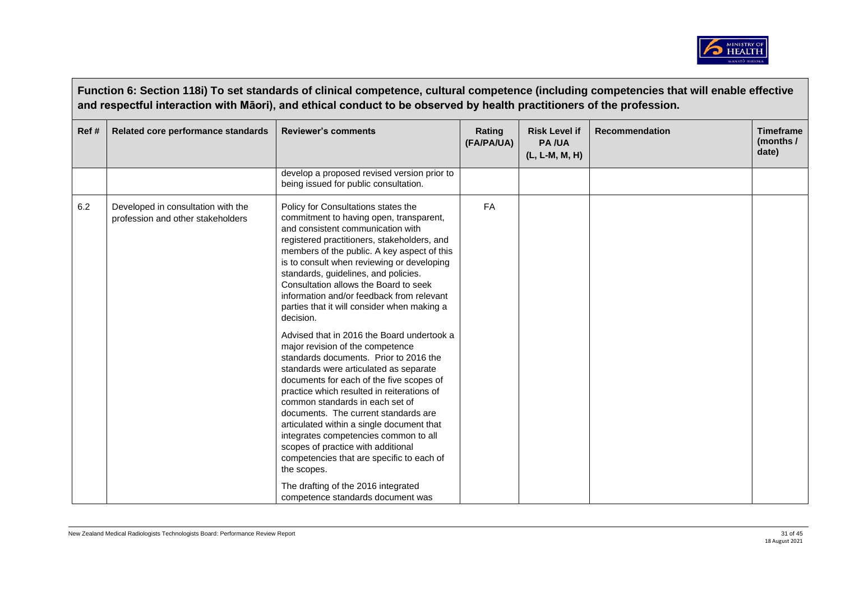

|      | Function 6: Section 118i) To set standards of clinical competence, cultural competence (including competencies that will enable effective<br>and respectful interaction with Māori), and ethical conduct to be observed by health practitioners of the profession. |                                                                                                                                                                                                                                                                                                                                                                                                                                                                                                                                                                                                                                                                                                                                                                                                                                                                                                                                                                                              |                      |                                                        |                       |                                        |  |  |
|------|--------------------------------------------------------------------------------------------------------------------------------------------------------------------------------------------------------------------------------------------------------------------|----------------------------------------------------------------------------------------------------------------------------------------------------------------------------------------------------------------------------------------------------------------------------------------------------------------------------------------------------------------------------------------------------------------------------------------------------------------------------------------------------------------------------------------------------------------------------------------------------------------------------------------------------------------------------------------------------------------------------------------------------------------------------------------------------------------------------------------------------------------------------------------------------------------------------------------------------------------------------------------------|----------------------|--------------------------------------------------------|-----------------------|----------------------------------------|--|--|
| Ref# | Related core performance standards                                                                                                                                                                                                                                 | <b>Reviewer's comments</b>                                                                                                                                                                                                                                                                                                                                                                                                                                                                                                                                                                                                                                                                                                                                                                                                                                                                                                                                                                   | Rating<br>(FA/PA/UA) | <b>Risk Level if</b><br><b>PA/UA</b><br>(L, L-M, M, H) | <b>Recommendation</b> | <b>Timeframe</b><br>(months /<br>date) |  |  |
|      |                                                                                                                                                                                                                                                                    | develop a proposed revised version prior to<br>being issued for public consultation.                                                                                                                                                                                                                                                                                                                                                                                                                                                                                                                                                                                                                                                                                                                                                                                                                                                                                                         |                      |                                                        |                       |                                        |  |  |
| 6.2  | Developed in consultation with the<br>profession and other stakeholders                                                                                                                                                                                            | Policy for Consultations states the<br>commitment to having open, transparent,<br>and consistent communication with<br>registered practitioners, stakeholders, and<br>members of the public. A key aspect of this<br>is to consult when reviewing or developing<br>standards, guidelines, and policies.<br>Consultation allows the Board to seek<br>information and/or feedback from relevant<br>parties that it will consider when making a<br>decision.<br>Advised that in 2016 the Board undertook a<br>major revision of the competence<br>standards documents. Prior to 2016 the<br>standards were articulated as separate<br>documents for each of the five scopes of<br>practice which resulted in reiterations of<br>common standards in each set of<br>documents. The current standards are<br>articulated within a single document that<br>integrates competencies common to all<br>scopes of practice with additional<br>competencies that are specific to each of<br>the scopes. | <b>FA</b>            |                                                        |                       |                                        |  |  |
|      |                                                                                                                                                                                                                                                                    | The drafting of the 2016 integrated<br>competence standards document was                                                                                                                                                                                                                                                                                                                                                                                                                                                                                                                                                                                                                                                                                                                                                                                                                                                                                                                     |                      |                                                        |                       |                                        |  |  |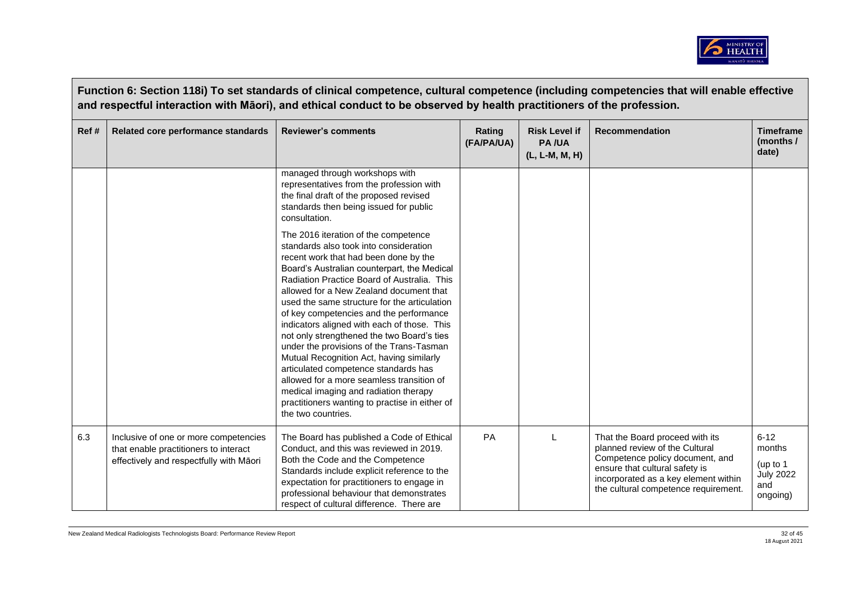

|      | Function 6: Section 118I) To set standards of clinical competence, cultural competence (including competencies that will enable effective<br>and respectful interaction with Māori), and ethical conduct to be observed by health practitioners of the profession. |                                                                                                                                                                                                                                                                                                                                                                                                                                                                                                                                                                                                                                                                                                                                                                                                                                                                                                                                            |                      |                                                        |                                                                                                                                                                                                                        |                                                                       |  |  |  |
|------|--------------------------------------------------------------------------------------------------------------------------------------------------------------------------------------------------------------------------------------------------------------------|--------------------------------------------------------------------------------------------------------------------------------------------------------------------------------------------------------------------------------------------------------------------------------------------------------------------------------------------------------------------------------------------------------------------------------------------------------------------------------------------------------------------------------------------------------------------------------------------------------------------------------------------------------------------------------------------------------------------------------------------------------------------------------------------------------------------------------------------------------------------------------------------------------------------------------------------|----------------------|--------------------------------------------------------|------------------------------------------------------------------------------------------------------------------------------------------------------------------------------------------------------------------------|-----------------------------------------------------------------------|--|--|--|
| Ref# | Related core performance standards                                                                                                                                                                                                                                 | <b>Reviewer's comments</b>                                                                                                                                                                                                                                                                                                                                                                                                                                                                                                                                                                                                                                                                                                                                                                                                                                                                                                                 | Rating<br>(FA/PA/UA) | <b>Risk Level if</b><br><b>PA/UA</b><br>(L, L-M, M, H) | <b>Recommendation</b>                                                                                                                                                                                                  | <b>Timeframe</b><br>(months /<br>date)                                |  |  |  |
|      |                                                                                                                                                                                                                                                                    | managed through workshops with<br>representatives from the profession with<br>the final draft of the proposed revised<br>standards then being issued for public<br>consultation.<br>The 2016 iteration of the competence<br>standards also took into consideration<br>recent work that had been done by the<br>Board's Australian counterpart, the Medical<br>Radiation Practice Board of Australia. This<br>allowed for a New Zealand document that<br>used the same structure for the articulation<br>of key competencies and the performance<br>indicators aligned with each of those. This<br>not only strengthened the two Board's ties<br>under the provisions of the Trans-Tasman<br>Mutual Recognition Act, having similarly<br>articulated competence standards has<br>allowed for a more seamless transition of<br>medical imaging and radiation therapy<br>practitioners wanting to practise in either of<br>the two countries. |                      |                                                        |                                                                                                                                                                                                                        |                                                                       |  |  |  |
| 6.3  | Inclusive of one or more competencies<br>that enable practitioners to interact<br>effectively and respectfully with Māori                                                                                                                                          | The Board has published a Code of Ethical<br>Conduct, and this was reviewed in 2019.<br>Both the Code and the Competence<br>Standards include explicit reference to the<br>expectation for practitioners to engage in<br>professional behaviour that demonstrates<br>respect of cultural difference. There are                                                                                                                                                                                                                                                                                                                                                                                                                                                                                                                                                                                                                             | PA                   | L                                                      | That the Board proceed with its<br>planned review of the Cultural<br>Competence policy document, and<br>ensure that cultural safety is<br>incorporated as a key element within<br>the cultural competence requirement. | $6 - 12$<br>months<br>(up to 1<br><b>July 2022</b><br>and<br>ongoing) |  |  |  |

**Function 6: Section 118i) To set standards of clinical competence, cultural competence (including competencies that will enable effective**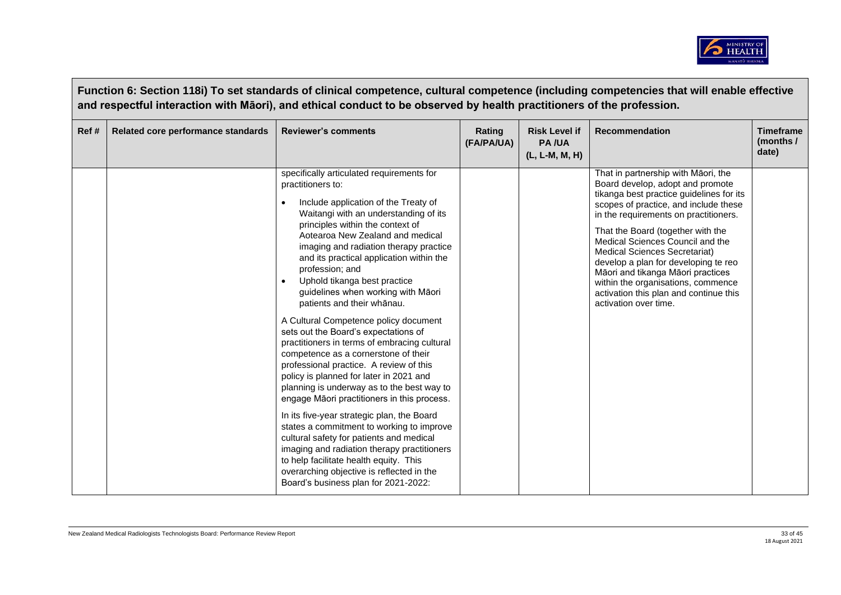

|       | Function 6: Section 118i) To set standards of clinical competence, cultural competence (including competencies that will enable effective<br>and respectful interaction with Māori), and ethical conduct to be observed by health practitioners of the profession. |                                                                                                                                                                                                                                                                                                                                                                                                                                                                                                                                                                                                                                                                                                                                                                                                                                                                                                                                                                                                                                                                                                                       |                      |                                                        |                                                                                                                                                                                                                                                                                                                                                                                                                                                                                                              |                                        |  |  |  |
|-------|--------------------------------------------------------------------------------------------------------------------------------------------------------------------------------------------------------------------------------------------------------------------|-----------------------------------------------------------------------------------------------------------------------------------------------------------------------------------------------------------------------------------------------------------------------------------------------------------------------------------------------------------------------------------------------------------------------------------------------------------------------------------------------------------------------------------------------------------------------------------------------------------------------------------------------------------------------------------------------------------------------------------------------------------------------------------------------------------------------------------------------------------------------------------------------------------------------------------------------------------------------------------------------------------------------------------------------------------------------------------------------------------------------|----------------------|--------------------------------------------------------|--------------------------------------------------------------------------------------------------------------------------------------------------------------------------------------------------------------------------------------------------------------------------------------------------------------------------------------------------------------------------------------------------------------------------------------------------------------------------------------------------------------|----------------------------------------|--|--|--|
| Ref # | Related core performance standards                                                                                                                                                                                                                                 | <b>Reviewer's comments</b>                                                                                                                                                                                                                                                                                                                                                                                                                                                                                                                                                                                                                                                                                                                                                                                                                                                                                                                                                                                                                                                                                            | Rating<br>(FA/PA/UA) | <b>Risk Level if</b><br><b>PA/UA</b><br>(L, L-M, M, H) | <b>Recommendation</b>                                                                                                                                                                                                                                                                                                                                                                                                                                                                                        | <b>Timeframe</b><br>(months /<br>date) |  |  |  |
|       |                                                                                                                                                                                                                                                                    | specifically articulated requirements for<br>practitioners to:<br>Include application of the Treaty of<br>Waitangi with an understanding of its<br>principles within the context of<br>Aotearoa New Zealand and medical<br>imaging and radiation therapy practice<br>and its practical application within the<br>profession; and<br>Uphold tikanga best practice<br>guidelines when working with Māori<br>patients and their whanau.<br>A Cultural Competence policy document<br>sets out the Board's expectations of<br>practitioners in terms of embracing cultural<br>competence as a cornerstone of their<br>professional practice. A review of this<br>policy is planned for later in 2021 and<br>planning is underway as to the best way to<br>engage Māori practitioners in this process.<br>In its five-year strategic plan, the Board<br>states a commitment to working to improve<br>cultural safety for patients and medical<br>imaging and radiation therapy practitioners<br>to help facilitate health equity. This<br>overarching objective is reflected in the<br>Board's business plan for 2021-2022: |                      |                                                        | That in partnership with Māori, the<br>Board develop, adopt and promote<br>tikanga best practice guidelines for its<br>scopes of practice, and include these<br>in the requirements on practitioners.<br>That the Board (together with the<br>Medical Sciences Council and the<br><b>Medical Sciences Secretariat)</b><br>develop a plan for developing te reo<br>Māori and tikanga Māori practices<br>within the organisations, commence<br>activation this plan and continue this<br>activation over time. |                                        |  |  |  |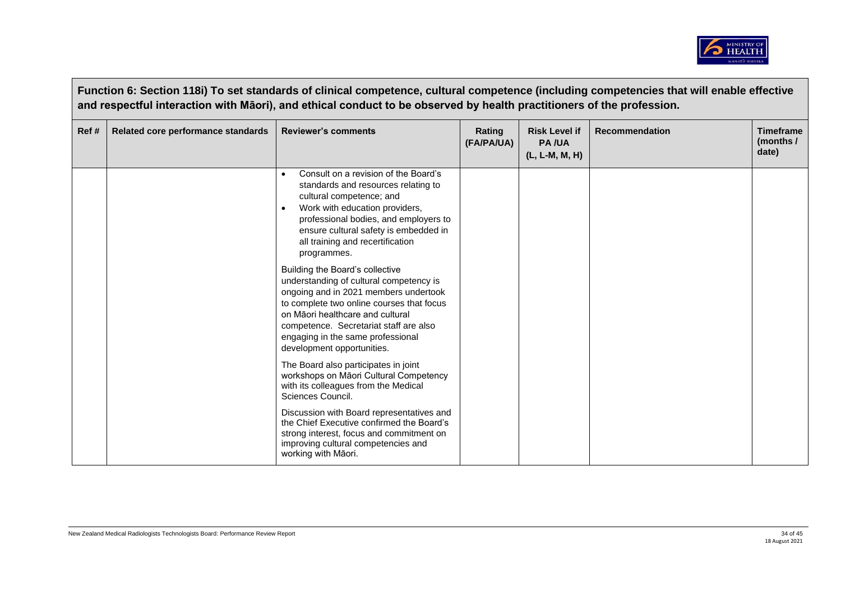

|       | Function 6: Section 118i) To set standards of clinical competence, cultural competence (including competencies that will enable effective<br>and respectful interaction with Māori), and ethical conduct to be observed by health practitioners of the profession. |                                                                                                                                                                                                                                                                                                                   |                      |                                                          |                       |                                        |  |  |
|-------|--------------------------------------------------------------------------------------------------------------------------------------------------------------------------------------------------------------------------------------------------------------------|-------------------------------------------------------------------------------------------------------------------------------------------------------------------------------------------------------------------------------------------------------------------------------------------------------------------|----------------------|----------------------------------------------------------|-----------------------|----------------------------------------|--|--|
| Ref # | Related core performance standards                                                                                                                                                                                                                                 | <b>Reviewer's comments</b>                                                                                                                                                                                                                                                                                        | Rating<br>(FA/PA/UA) | <b>Risk Level if</b><br><b>PA/UA</b><br>$(L, L-M, M, H)$ | <b>Recommendation</b> | <b>Timeframe</b><br>(months /<br>date) |  |  |
|       |                                                                                                                                                                                                                                                                    | Consult on a revision of the Board's<br>standards and resources relating to<br>cultural competence; and<br>Work with education providers,<br>$\bullet$<br>professional bodies, and employers to<br>ensure cultural safety is embedded in<br>all training and recertification<br>programmes.                       |                      |                                                          |                       |                                        |  |  |
|       |                                                                                                                                                                                                                                                                    | Building the Board's collective<br>understanding of cultural competency is<br>ongoing and in 2021 members undertook<br>to complete two online courses that focus<br>on Māori healthcare and cultural<br>competence. Secretariat staff are also<br>engaging in the same professional<br>development opportunities. |                      |                                                          |                       |                                        |  |  |
|       |                                                                                                                                                                                                                                                                    | The Board also participates in joint<br>workshops on Māori Cultural Competency<br>with its colleagues from the Medical<br>Sciences Council.                                                                                                                                                                       |                      |                                                          |                       |                                        |  |  |
|       |                                                                                                                                                                                                                                                                    | Discussion with Board representatives and<br>the Chief Executive confirmed the Board's<br>strong interest, focus and commitment on<br>improving cultural competencies and<br>working with Māori.                                                                                                                  |                      |                                                          |                       |                                        |  |  |

**Contract**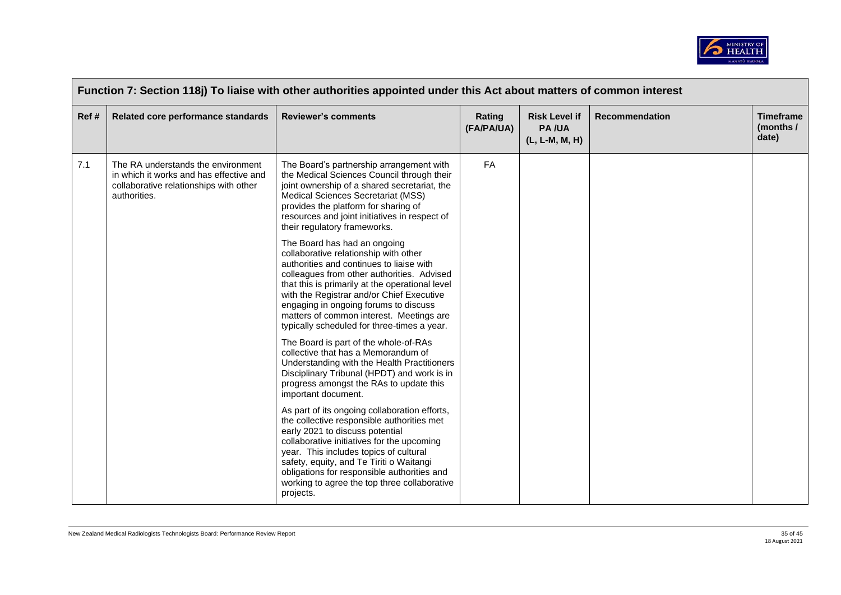

| Ref# | Related core performance standards                                                                                                      | <b>Reviewer's comments</b>                                                                                                                                                                                                                                                                                                                                                                          | Rating<br>(FA/PA/UA) | <b>Risk Level if</b><br><b>PA/UA</b><br>(L, L-M, M, H) | Recommendation | <b>Timeframe</b><br>(months /<br>date) |
|------|-----------------------------------------------------------------------------------------------------------------------------------------|-----------------------------------------------------------------------------------------------------------------------------------------------------------------------------------------------------------------------------------------------------------------------------------------------------------------------------------------------------------------------------------------------------|----------------------|--------------------------------------------------------|----------------|----------------------------------------|
| 7.1  | The RA understands the environment<br>in which it works and has effective and<br>collaborative relationships with other<br>authorities. | The Board's partnership arrangement with<br>the Medical Sciences Council through their<br>joint ownership of a shared secretariat, the<br>Medical Sciences Secretariat (MSS)<br>provides the platform for sharing of<br>resources and joint initiatives in respect of<br>their regulatory frameworks.                                                                                               | <b>FA</b>            |                                                        |                |                                        |
|      |                                                                                                                                         | The Board has had an ongoing<br>collaborative relationship with other<br>authorities and continues to liaise with<br>colleagues from other authorities. Advised<br>that this is primarily at the operational level<br>with the Registrar and/or Chief Executive<br>engaging in ongoing forums to discuss<br>matters of common interest. Meetings are<br>typically scheduled for three-times a year. |                      |                                                        |                |                                        |
|      |                                                                                                                                         | The Board is part of the whole-of-RAs<br>collective that has a Memorandum of<br>Understanding with the Health Practitioners<br>Disciplinary Tribunal (HPDT) and work is in<br>progress amongst the RAs to update this<br>important document.                                                                                                                                                        |                      |                                                        |                |                                        |
|      |                                                                                                                                         | As part of its ongoing collaboration efforts,<br>the collective responsible authorities met<br>early 2021 to discuss potential<br>collaborative initiatives for the upcoming<br>year. This includes topics of cultural<br>safety, equity, and Te Tiriti o Waitangi<br>obligations for responsible authorities and<br>working to agree the top three collaborative<br>projects.                      |                      |                                                        |                |                                        |

 $\Box$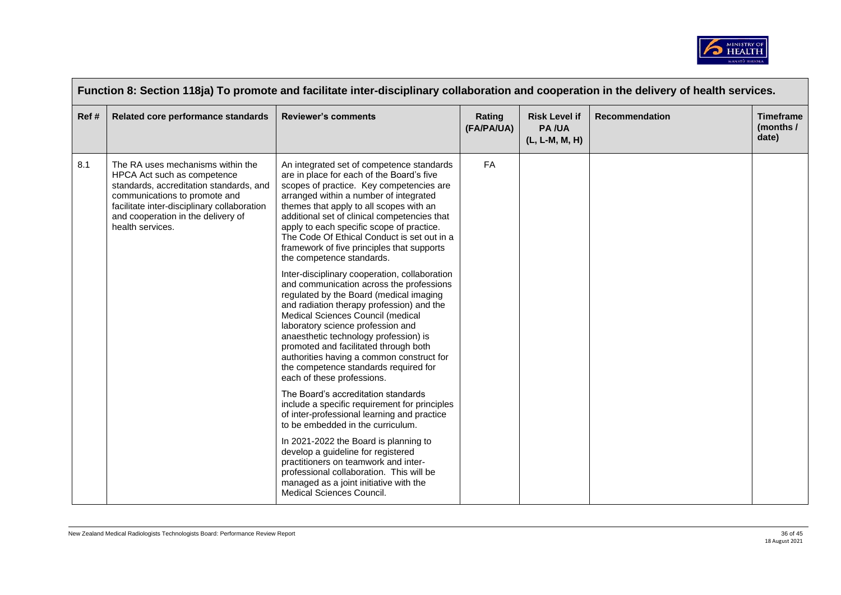

| Function 8: Section 118ja) To promote and facilitate inter-disciplinary collaboration and cooperation in the delivery of health services. |                                                                                                                                                                                                                                                       |                                                                                                                                                                                                                                                                                                                                                                                                                                                                                                                                                                                                                                                                                                                                                                                                                                                                                                                                                                                                                                                                                                                                                                                                                                                                                                                                           |                      |                                                        |                       |                                        |  |  |
|-------------------------------------------------------------------------------------------------------------------------------------------|-------------------------------------------------------------------------------------------------------------------------------------------------------------------------------------------------------------------------------------------------------|-------------------------------------------------------------------------------------------------------------------------------------------------------------------------------------------------------------------------------------------------------------------------------------------------------------------------------------------------------------------------------------------------------------------------------------------------------------------------------------------------------------------------------------------------------------------------------------------------------------------------------------------------------------------------------------------------------------------------------------------------------------------------------------------------------------------------------------------------------------------------------------------------------------------------------------------------------------------------------------------------------------------------------------------------------------------------------------------------------------------------------------------------------------------------------------------------------------------------------------------------------------------------------------------------------------------------------------------|----------------------|--------------------------------------------------------|-----------------------|----------------------------------------|--|--|
| Ref#                                                                                                                                      | Related core performance standards                                                                                                                                                                                                                    | <b>Reviewer's comments</b>                                                                                                                                                                                                                                                                                                                                                                                                                                                                                                                                                                                                                                                                                                                                                                                                                                                                                                                                                                                                                                                                                                                                                                                                                                                                                                                | Rating<br>(FA/PA/UA) | <b>Risk Level if</b><br><b>PA/UA</b><br>(L, L-M, M, H) | <b>Recommendation</b> | <b>Timeframe</b><br>(months /<br>date) |  |  |
| 8.1                                                                                                                                       | The RA uses mechanisms within the<br>HPCA Act such as competence<br>standards, accreditation standards, and<br>communications to promote and<br>facilitate inter-disciplinary collaboration<br>and cooperation in the delivery of<br>health services. | An integrated set of competence standards<br>are in place for each of the Board's five<br>scopes of practice. Key competencies are<br>arranged within a number of integrated<br>themes that apply to all scopes with an<br>additional set of clinical competencies that<br>apply to each specific scope of practice.<br>The Code Of Ethical Conduct is set out in a<br>framework of five principles that supports<br>the competence standards.<br>Inter-disciplinary cooperation, collaboration<br>and communication across the professions<br>regulated by the Board (medical imaging<br>and radiation therapy profession) and the<br>Medical Sciences Council (medical<br>laboratory science profession and<br>anaesthetic technology profession) is<br>promoted and facilitated through both<br>authorities having a common construct for<br>the competence standards required for<br>each of these professions.<br>The Board's accreditation standards<br>include a specific requirement for principles<br>of inter-professional learning and practice<br>to be embedded in the curriculum.<br>In 2021-2022 the Board is planning to<br>develop a guideline for registered<br>practitioners on teamwork and inter-<br>professional collaboration. This will be<br>managed as a joint initiative with the<br>Medical Sciences Council. | FA                   |                                                        |                       |                                        |  |  |

 $\overline{\phantom{a}}$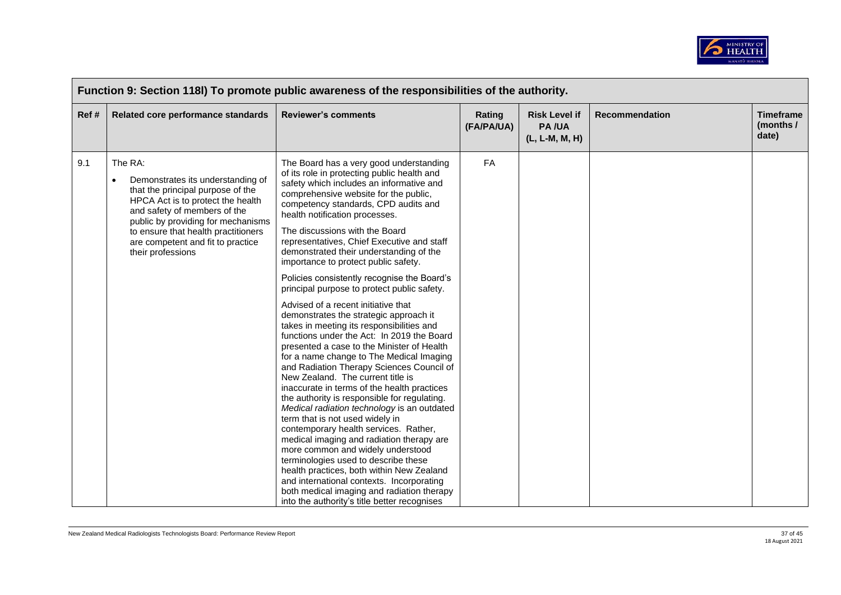

|                                                                                                                                                                                                                                                                                                            | Function 9: Section 118I) To promote public awareness of the responsibilities of the authority.                                                                                                                                                                                                                                                                                                                                                                                                                                                                                                                                                                                                                                                                                                    |                                                                                                                                           |                                                        |                       |                                        |  |  |  |  |
|------------------------------------------------------------------------------------------------------------------------------------------------------------------------------------------------------------------------------------------------------------------------------------------------------------|----------------------------------------------------------------------------------------------------------------------------------------------------------------------------------------------------------------------------------------------------------------------------------------------------------------------------------------------------------------------------------------------------------------------------------------------------------------------------------------------------------------------------------------------------------------------------------------------------------------------------------------------------------------------------------------------------------------------------------------------------------------------------------------------------|-------------------------------------------------------------------------------------------------------------------------------------------|--------------------------------------------------------|-----------------------|----------------------------------------|--|--|--|--|
| Related core performance standards                                                                                                                                                                                                                                                                         | <b>Reviewer's comments</b>                                                                                                                                                                                                                                                                                                                                                                                                                                                                                                                                                                                                                                                                                                                                                                         | Rating<br>(FA/PA/UA)                                                                                                                      | <b>Risk Level if</b><br><b>PA/UA</b><br>(L, L-M, M, H) | <b>Recommendation</b> | <b>Timeframe</b><br>(months /<br>date) |  |  |  |  |
| The RA:<br>Demonstrates its understanding of<br>$\bullet$<br>that the principal purpose of the<br>HPCA Act is to protect the health<br>and safety of members of the<br>public by providing for mechanisms<br>to ensure that health practitioners<br>are competent and fit to practice<br>their professions | The Board has a very good understanding<br>of its role in protecting public health and<br>safety which includes an informative and<br>comprehensive website for the public,<br>competency standards, CPD audits and<br>health notification processes.<br>The discussions with the Board<br>representatives, Chief Executive and staff<br>demonstrated their understanding of the                                                                                                                                                                                                                                                                                                                                                                                                                   | <b>FA</b>                                                                                                                                 |                                                        |                       |                                        |  |  |  |  |
|                                                                                                                                                                                                                                                                                                            | importance to protect public safety.<br>Policies consistently recognise the Board's                                                                                                                                                                                                                                                                                                                                                                                                                                                                                                                                                                                                                                                                                                                |                                                                                                                                           |                                                        |                       |                                        |  |  |  |  |
|                                                                                                                                                                                                                                                                                                            | Advised of a recent initiative that<br>demonstrates the strategic approach it<br>takes in meeting its responsibilities and<br>functions under the Act: In 2019 the Board<br>presented a case to the Minister of Health<br>for a name change to The Medical Imaging<br>and Radiation Therapy Sciences Council of<br>New Zealand. The current title is<br>inaccurate in terms of the health practices<br>the authority is responsible for regulating.<br>Medical radiation technology is an outdated<br>term that is not used widely in<br>contemporary health services. Rather,<br>medical imaging and radiation therapy are<br>more common and widely understood<br>terminologies used to describe these<br>health practices, both within New Zealand<br>and international contexts. Incorporating |                                                                                                                                           |                                                        |                       |                                        |  |  |  |  |
|                                                                                                                                                                                                                                                                                                            |                                                                                                                                                                                                                                                                                                                                                                                                                                                                                                                                                                                                                                                                                                                                                                                                    | principal purpose to protect public safety.<br>both medical imaging and radiation therapy<br>into the authority's title better recognises |                                                        |                       |                                        |  |  |  |  |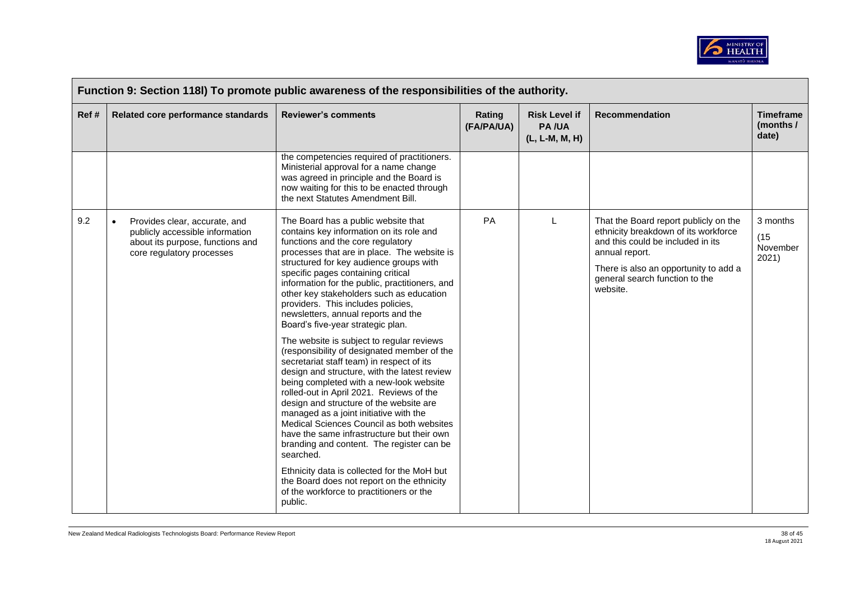

|       | Function 9: Section 118I) To promote public awareness of the responsibilities of the authority.                                                |                                                                                                                                                                                                                                                                                                                                                                                                                                                                                                                                                                                                                                                                                                                                                                                                                                                                                                                                                                                                                                                                                                                                                    |                      |                                                        |                                                                                                                                                                                                                             |                                        |  |  |
|-------|------------------------------------------------------------------------------------------------------------------------------------------------|----------------------------------------------------------------------------------------------------------------------------------------------------------------------------------------------------------------------------------------------------------------------------------------------------------------------------------------------------------------------------------------------------------------------------------------------------------------------------------------------------------------------------------------------------------------------------------------------------------------------------------------------------------------------------------------------------------------------------------------------------------------------------------------------------------------------------------------------------------------------------------------------------------------------------------------------------------------------------------------------------------------------------------------------------------------------------------------------------------------------------------------------------|----------------------|--------------------------------------------------------|-----------------------------------------------------------------------------------------------------------------------------------------------------------------------------------------------------------------------------|----------------------------------------|--|--|
| Ref # | Related core performance standards                                                                                                             | <b>Reviewer's comments</b>                                                                                                                                                                                                                                                                                                                                                                                                                                                                                                                                                                                                                                                                                                                                                                                                                                                                                                                                                                                                                                                                                                                         | Rating<br>(FA/PA/UA) | <b>Risk Level if</b><br><b>PA/UA</b><br>(L, L-M, M, H) | Recommendation                                                                                                                                                                                                              | <b>Timeframe</b><br>(months /<br>date) |  |  |
|       |                                                                                                                                                | the competencies required of practitioners.<br>Ministerial approval for a name change<br>was agreed in principle and the Board is<br>now waiting for this to be enacted through<br>the next Statutes Amendment Bill.                                                                                                                                                                                                                                                                                                                                                                                                                                                                                                                                                                                                                                                                                                                                                                                                                                                                                                                               |                      |                                                        |                                                                                                                                                                                                                             |                                        |  |  |
| 9.2   | Provides clear, accurate, and<br>$\bullet$<br>publicly accessible information<br>about its purpose, functions and<br>core regulatory processes | The Board has a public website that<br>contains key information on its role and<br>functions and the core regulatory<br>processes that are in place. The website is<br>structured for key audience groups with<br>specific pages containing critical<br>information for the public, practitioners, and<br>other key stakeholders such as education<br>providers. This includes policies,<br>newsletters, annual reports and the<br>Board's five-year strategic plan.<br>The website is subject to regular reviews<br>(responsibility of designated member of the<br>secretariat staff team) in respect of its<br>design and structure, with the latest review<br>being completed with a new-look website<br>rolled-out in April 2021. Reviews of the<br>design and structure of the website are<br>managed as a joint initiative with the<br>Medical Sciences Council as both websites<br>have the same infrastructure but their own<br>branding and content. The register can be<br>searched.<br>Ethnicity data is collected for the MoH but<br>the Board does not report on the ethnicity<br>of the workforce to practitioners or the<br>public. | PA                   | L                                                      | That the Board report publicly on the<br>ethnicity breakdown of its workforce<br>and this could be included in its<br>annual report.<br>There is also an opportunity to add a<br>general search function to the<br>website. | 3 months<br>(15)<br>November<br>2021)  |  |  |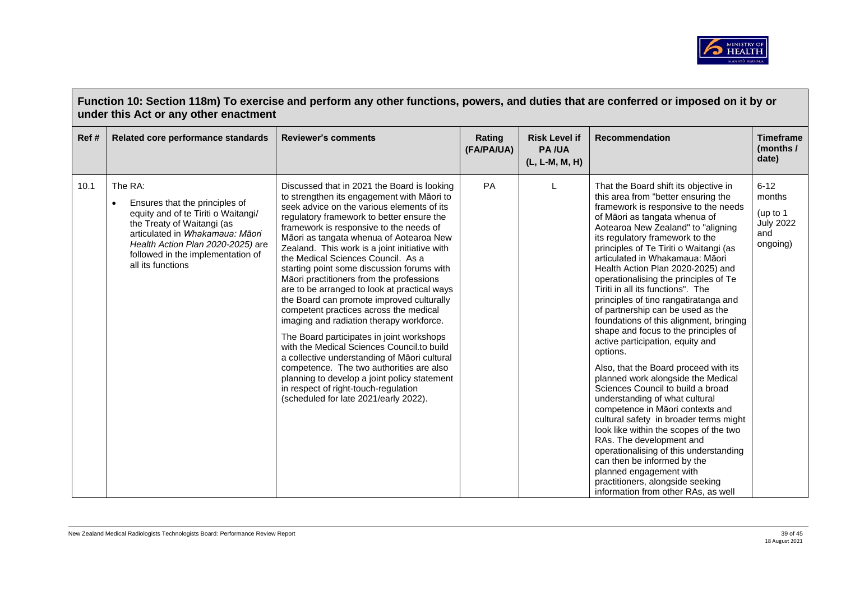

| Ref # | Related core performance standards                                                                                                                                                                                                                            | <b>Reviewer's comments</b>                                                                                                                                                                                                                                                                                                                                                                                                                                                                                                                                                                                                                                                                                                                                                                                                                                                                                                                                             | Rating<br>(FA/PA/UA) | <b>Risk Level if</b><br><b>PA/UA</b><br>(L, L-M, M, H) | <b>Recommendation</b>                                                                                                                                                                                                                                                                                                                                                                                                                                                                                                                                                                                                                                                                                                                                                                                                                                                                                                                                                                                                                                                                                                                    | <b>Timeframe</b><br>(months /<br>date)                                |
|-------|---------------------------------------------------------------------------------------------------------------------------------------------------------------------------------------------------------------------------------------------------------------|------------------------------------------------------------------------------------------------------------------------------------------------------------------------------------------------------------------------------------------------------------------------------------------------------------------------------------------------------------------------------------------------------------------------------------------------------------------------------------------------------------------------------------------------------------------------------------------------------------------------------------------------------------------------------------------------------------------------------------------------------------------------------------------------------------------------------------------------------------------------------------------------------------------------------------------------------------------------|----------------------|--------------------------------------------------------|------------------------------------------------------------------------------------------------------------------------------------------------------------------------------------------------------------------------------------------------------------------------------------------------------------------------------------------------------------------------------------------------------------------------------------------------------------------------------------------------------------------------------------------------------------------------------------------------------------------------------------------------------------------------------------------------------------------------------------------------------------------------------------------------------------------------------------------------------------------------------------------------------------------------------------------------------------------------------------------------------------------------------------------------------------------------------------------------------------------------------------------|-----------------------------------------------------------------------|
| 10.1  | The RA:<br>Ensures that the principles of<br>$\bullet$<br>equity and of te Tiriti o Waitangi/<br>the Treaty of Waitangi (as<br>articulated in Whakamaua: Māori<br>Health Action Plan 2020-2025) are<br>followed in the implementation of<br>all its functions | Discussed that in 2021 the Board is looking<br>to strengthen its engagement with Māori to<br>seek advice on the various elements of its<br>regulatory framework to better ensure the<br>framework is responsive to the needs of<br>Māori as tangata whenua of Aotearoa New<br>Zealand. This work is a joint initiative with<br>the Medical Sciences Council. As a<br>starting point some discussion forums with<br>Māori practitioners from the professions<br>are to be arranged to look at practical ways<br>the Board can promote improved culturally<br>competent practices across the medical<br>imaging and radiation therapy workforce.<br>The Board participates in joint workshops<br>with the Medical Sciences Council.to build<br>a collective understanding of Māori cultural<br>competence. The two authorities are also<br>planning to develop a joint policy statement<br>in respect of right-touch-regulation<br>(scheduled for late 2021/early 2022). | PA                   |                                                        | That the Board shift its objective in<br>this area from "better ensuring the<br>framework is responsive to the needs<br>of Māori as tangata whenua of<br>Aotearoa New Zealand" to "aligning<br>its regulatory framework to the<br>principles of Te Tiriti o Waitangi (as<br>articulated in Whakamaua: Māori<br>Health Action Plan 2020-2025) and<br>operationalising the principles of Te<br>Tiriti in all its functions". The<br>principles of tino rangatiratanga and<br>of partnership can be used as the<br>foundations of this alignment, bringing<br>shape and focus to the principles of<br>active participation, equity and<br>options.<br>Also, that the Board proceed with its<br>planned work alongside the Medical<br>Sciences Council to build a broad<br>understanding of what cultural<br>competence in Māori contexts and<br>cultural safety in broader terms might<br>look like within the scopes of the two<br>RAs. The development and<br>operationalising of this understanding<br>can then be informed by the<br>planned engagement with<br>practitioners, alongside seeking<br>information from other RAs, as well | $6 - 12$<br>months<br>(up to 1<br><b>July 2022</b><br>and<br>ongoing) |

 $\mathbb{F}$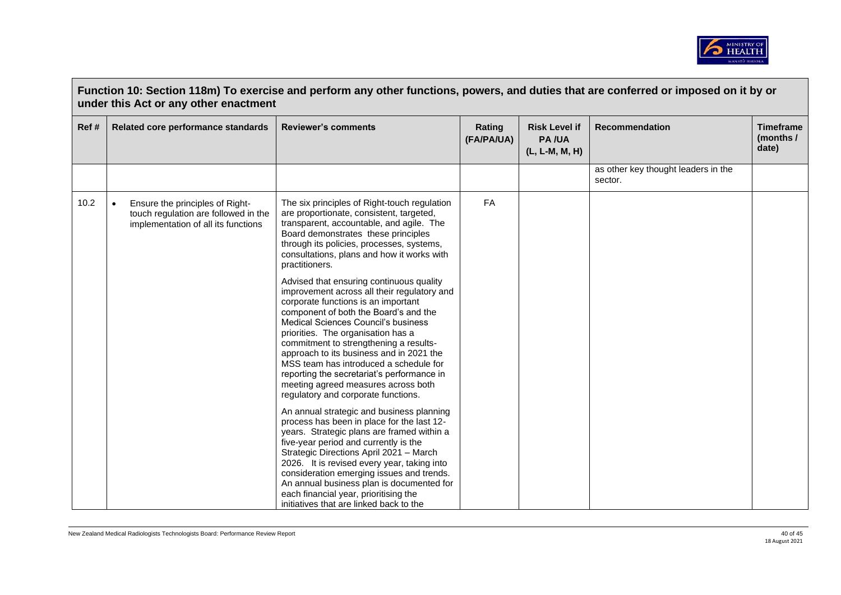

| Ref# | Related core performance standards                                                                                          | <b>Reviewer's comments</b>                                                                                                                                                                                                                                                                                                                                                                                                                                                                                       | Rating<br>(FA/PA/UA) | <b>Risk Level if</b><br><b>PA/UA</b><br>(L, L-M, M, H) | Recommendation                                 | <b>Timeframe</b><br>(months /<br>date) |
|------|-----------------------------------------------------------------------------------------------------------------------------|------------------------------------------------------------------------------------------------------------------------------------------------------------------------------------------------------------------------------------------------------------------------------------------------------------------------------------------------------------------------------------------------------------------------------------------------------------------------------------------------------------------|----------------------|--------------------------------------------------------|------------------------------------------------|----------------------------------------|
|      |                                                                                                                             |                                                                                                                                                                                                                                                                                                                                                                                                                                                                                                                  |                      |                                                        | as other key thought leaders in the<br>sector. |                                        |
| 10.2 | Ensure the principles of Right-<br>$\bullet$<br>touch regulation are followed in the<br>implementation of all its functions | The six principles of Right-touch regulation<br>are proportionate, consistent, targeted,<br>transparent, accountable, and agile. The<br>Board demonstrates these principles<br>through its policies, processes, systems,<br>consultations, plans and how it works with<br>practitioners.                                                                                                                                                                                                                         | FA                   |                                                        |                                                |                                        |
|      |                                                                                                                             | Advised that ensuring continuous quality<br>improvement across all their regulatory and<br>corporate functions is an important<br>component of both the Board's and the<br>Medical Sciences Council's business<br>priorities. The organisation has a<br>commitment to strengthening a results-<br>approach to its business and in 2021 the<br>MSS team has introduced a schedule for<br>reporting the secretariat's performance in<br>meeting agreed measures across both<br>regulatory and corporate functions. |                      |                                                        |                                                |                                        |
|      |                                                                                                                             | An annual strategic and business planning<br>process has been in place for the last 12-<br>years. Strategic plans are framed within a<br>five-year period and currently is the<br>Strategic Directions April 2021 - March<br>2026. It is revised every year, taking into<br>consideration emerging issues and trends.<br>An annual business plan is documented for<br>each financial year, prioritising the<br>initiatives that are linked back to the                                                           |                      |                                                        |                                                |                                        |

 $\Box$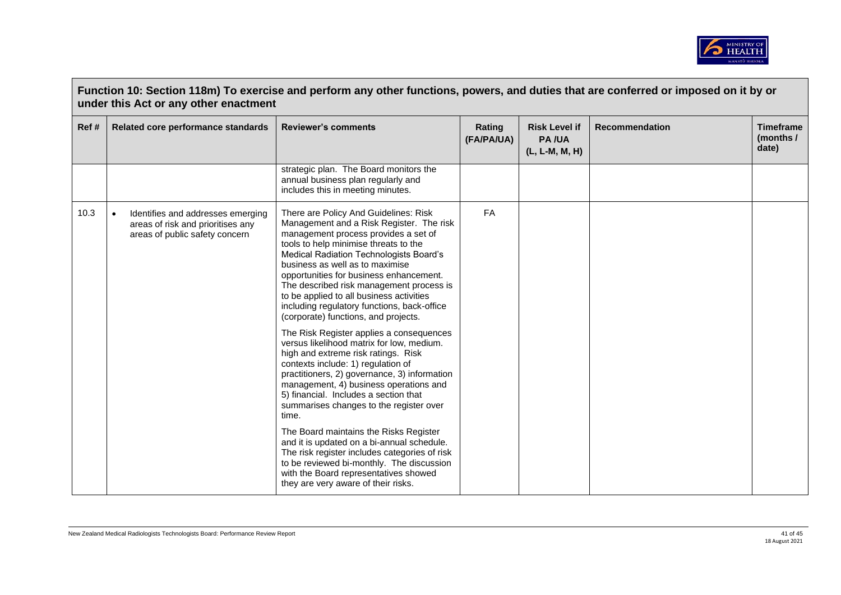

|      | under this Act or any other enactment                                                                    | Function 10: Section 118m) To exercise and perform any other functions, powers, and duties that are conferred or imposed on it by or                                                                                                                                                                                                                                                                                                                                       |                      |                                                        |                       |                                        |
|------|----------------------------------------------------------------------------------------------------------|----------------------------------------------------------------------------------------------------------------------------------------------------------------------------------------------------------------------------------------------------------------------------------------------------------------------------------------------------------------------------------------------------------------------------------------------------------------------------|----------------------|--------------------------------------------------------|-----------------------|----------------------------------------|
| Ref# | Related core performance standards                                                                       | <b>Reviewer's comments</b>                                                                                                                                                                                                                                                                                                                                                                                                                                                 | Rating<br>(FA/PA/UA) | <b>Risk Level if</b><br><b>PA/UA</b><br>(L, L-M, M, H) | <b>Recommendation</b> | <b>Timeframe</b><br>(months /<br>date) |
|      |                                                                                                          | strategic plan. The Board monitors the<br>annual business plan regularly and<br>includes this in meeting minutes.                                                                                                                                                                                                                                                                                                                                                          |                      |                                                        |                       |                                        |
| 10.3 | Identifies and addresses emerging<br>areas of risk and prioritises any<br>areas of public safety concern | There are Policy And Guidelines: Risk<br>Management and a Risk Register. The risk<br>management process provides a set of<br>tools to help minimise threats to the<br>Medical Radiation Technologists Board's<br>business as well as to maximise<br>opportunities for business enhancement.<br>The described risk management process is<br>to be applied to all business activities<br>including regulatory functions, back-office<br>(corporate) functions, and projects. | <b>FA</b>            |                                                        |                       |                                        |
|      |                                                                                                          | The Risk Register applies a consequences<br>versus likelihood matrix for low, medium.<br>high and extreme risk ratings. Risk<br>contexts include: 1) regulation of<br>practitioners, 2) governance, 3) information<br>management, 4) business operations and<br>5) financial. Includes a section that<br>summarises changes to the register over<br>time.                                                                                                                  |                      |                                                        |                       |                                        |
|      |                                                                                                          | The Board maintains the Risks Register<br>and it is updated on a bi-annual schedule.<br>The risk register includes categories of risk<br>to be reviewed bi-monthly. The discussion<br>with the Board representatives showed<br>they are very aware of their risks.                                                                                                                                                                                                         |                      |                                                        |                       |                                        |

 $\overline{\phantom{a}}$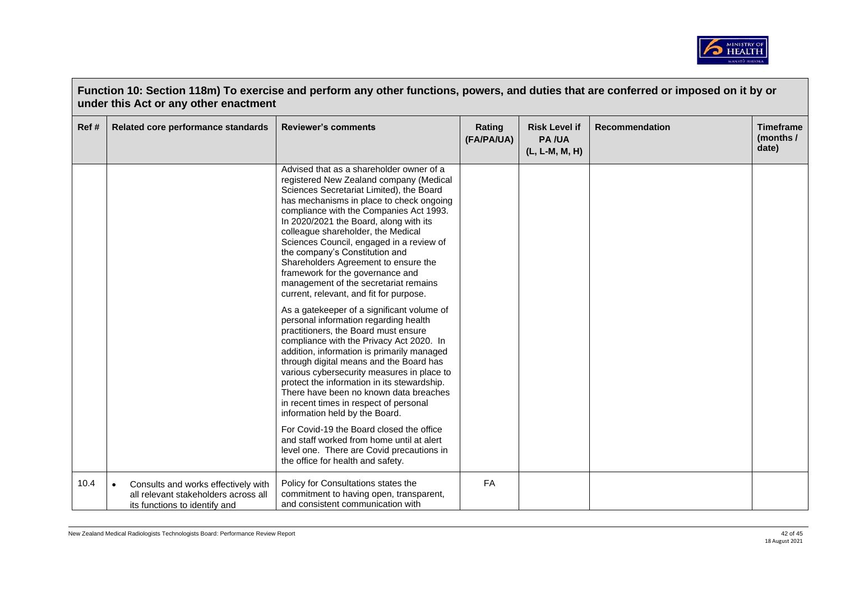

|      | Function 10: Section 118m) To exercise and perform any other functions, powers, and duties that are conferred or imposed on it by or<br>under this Act or any other enactment |                                                                                                                                                                                                                                                                                                                                                                                                                                                                                                                                                                                                                                                                                                                                                                                                                                                                                                                                                                                                                                                                                                                                                                                                                        |                      |                                                        |                       |                                        |  |
|------|-------------------------------------------------------------------------------------------------------------------------------------------------------------------------------|------------------------------------------------------------------------------------------------------------------------------------------------------------------------------------------------------------------------------------------------------------------------------------------------------------------------------------------------------------------------------------------------------------------------------------------------------------------------------------------------------------------------------------------------------------------------------------------------------------------------------------------------------------------------------------------------------------------------------------------------------------------------------------------------------------------------------------------------------------------------------------------------------------------------------------------------------------------------------------------------------------------------------------------------------------------------------------------------------------------------------------------------------------------------------------------------------------------------|----------------------|--------------------------------------------------------|-----------------------|----------------------------------------|--|
| Ref# | Related core performance standards                                                                                                                                            | <b>Reviewer's comments</b>                                                                                                                                                                                                                                                                                                                                                                                                                                                                                                                                                                                                                                                                                                                                                                                                                                                                                                                                                                                                                                                                                                                                                                                             | Rating<br>(FA/PA/UA) | <b>Risk Level if</b><br><b>PA/UA</b><br>(L, L-M, M, H) | <b>Recommendation</b> | <b>Timeframe</b><br>(months /<br>date) |  |
|      |                                                                                                                                                                               | Advised that as a shareholder owner of a<br>registered New Zealand company (Medical<br>Sciences Secretariat Limited), the Board<br>has mechanisms in place to check ongoing<br>compliance with the Companies Act 1993.<br>In 2020/2021 the Board, along with its<br>colleague shareholder, the Medical<br>Sciences Council, engaged in a review of<br>the company's Constitution and<br>Shareholders Agreement to ensure the<br>framework for the governance and<br>management of the secretariat remains<br>current, relevant, and fit for purpose.<br>As a gatekeeper of a significant volume of<br>personal information regarding health<br>practitioners, the Board must ensure<br>compliance with the Privacy Act 2020. In<br>addition, information is primarily managed<br>through digital means and the Board has<br>various cybersecurity measures in place to<br>protect the information in its stewardship.<br>There have been no known data breaches<br>in recent times in respect of personal<br>information held by the Board.<br>For Covid-19 the Board closed the office<br>and staff worked from home until at alert<br>level one. There are Covid precautions in<br>the office for health and safety. |                      |                                                        |                       |                                        |  |
| 10.4 | Consults and works effectively with<br>$\bullet$<br>all relevant stakeholders across all<br>its functions to identify and                                                     | Policy for Consultations states the<br>commitment to having open, transparent,<br>and consistent communication with                                                                                                                                                                                                                                                                                                                                                                                                                                                                                                                                                                                                                                                                                                                                                                                                                                                                                                                                                                                                                                                                                                    | FA                   |                                                        |                       |                                        |  |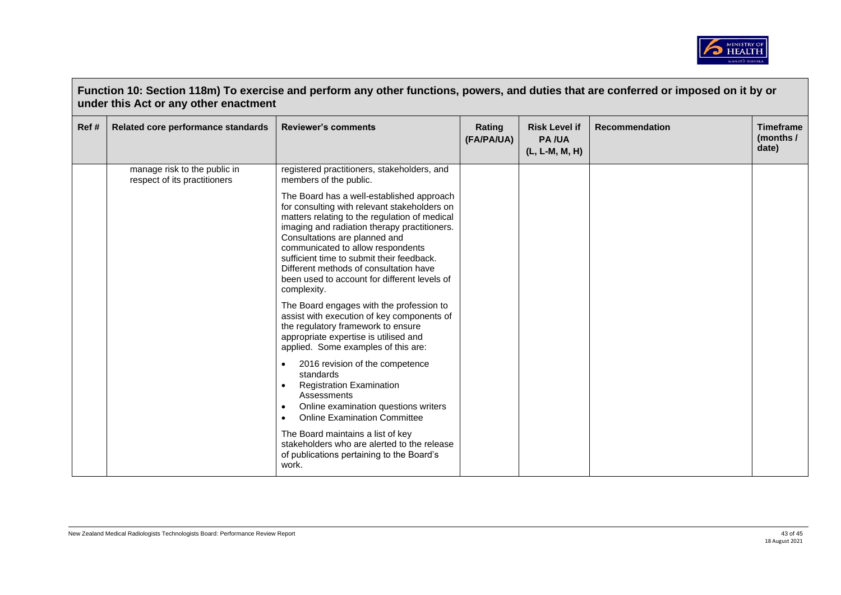

| Ref# | Related core performance standards                           | <b>Reviewer's comments</b>                                                                                                                                                                                                                                                                                                                                                                                             | Rating<br>(FA/PA/UA) | <b>Risk Level if</b><br><b>PA/UA</b><br>(L, L-M, M, H) | <b>Recommendation</b> | <b>Timeframe</b><br>(months /<br>date) |
|------|--------------------------------------------------------------|------------------------------------------------------------------------------------------------------------------------------------------------------------------------------------------------------------------------------------------------------------------------------------------------------------------------------------------------------------------------------------------------------------------------|----------------------|--------------------------------------------------------|-----------------------|----------------------------------------|
|      | manage risk to the public in<br>respect of its practitioners | registered practitioners, stakeholders, and<br>members of the public.                                                                                                                                                                                                                                                                                                                                                  |                      |                                                        |                       |                                        |
|      |                                                              | The Board has a well-established approach<br>for consulting with relevant stakeholders on<br>matters relating to the regulation of medical<br>imaging and radiation therapy practitioners.<br>Consultations are planned and<br>communicated to allow respondents<br>sufficient time to submit their feedback.<br>Different methods of consultation have<br>been used to account for different levels of<br>complexity. |                      |                                                        |                       |                                        |
|      |                                                              | The Board engages with the profession to<br>assist with execution of key components of<br>the regulatory framework to ensure<br>appropriate expertise is utilised and<br>applied. Some examples of this are:                                                                                                                                                                                                           |                      |                                                        |                       |                                        |
|      |                                                              | 2016 revision of the competence<br>$\bullet$<br>standards<br><b>Registration Examination</b><br>$\bullet$<br>Assessments<br>Online examination questions writers<br>$\bullet$<br><b>Online Examination Committee</b><br>$\bullet$                                                                                                                                                                                      |                      |                                                        |                       |                                        |
|      |                                                              | The Board maintains a list of key<br>stakeholders who are alerted to the release<br>of publications pertaining to the Board's<br>work.                                                                                                                                                                                                                                                                                 |                      |                                                        |                       |                                        |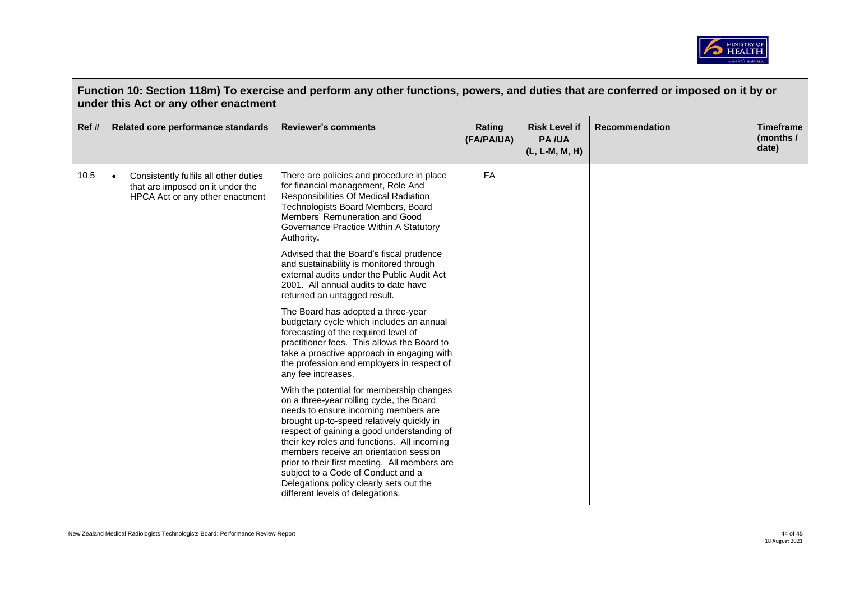

|      | Function 10: Section 118m) To exercise and perform any other functions, powers, and duties that are conferred or imposed on it by or<br>under this Act or any other enactment |                                                                                                                                                                                                                                                                                                                                                                                                                                                                                         |                      |                                                        |                       |                                        |  |
|------|-------------------------------------------------------------------------------------------------------------------------------------------------------------------------------|-----------------------------------------------------------------------------------------------------------------------------------------------------------------------------------------------------------------------------------------------------------------------------------------------------------------------------------------------------------------------------------------------------------------------------------------------------------------------------------------|----------------------|--------------------------------------------------------|-----------------------|----------------------------------------|--|
| Ref# | Related core performance standards                                                                                                                                            | <b>Reviewer's comments</b>                                                                                                                                                                                                                                                                                                                                                                                                                                                              | Rating<br>(FA/PA/UA) | <b>Risk Level if</b><br><b>PA/UA</b><br>(L, L-M, M, H) | <b>Recommendation</b> | <b>Timeframe</b><br>(months /<br>date) |  |
| 10.5 | Consistently fulfils all other duties<br>$\bullet$<br>that are imposed on it under the<br>HPCA Act or any other enactment                                                     | There are policies and procedure in place<br>for financial management, Role And<br>Responsibilities Of Medical Radiation<br>Technologists Board Members, Board<br>Members' Remuneration and Good<br>Governance Practice Within A Statutory<br>Authority.                                                                                                                                                                                                                                | <b>FA</b>            |                                                        |                       |                                        |  |
|      |                                                                                                                                                                               | Advised that the Board's fiscal prudence<br>and sustainability is monitored through<br>external audits under the Public Audit Act<br>2001. All annual audits to date have<br>returned an untagged result.                                                                                                                                                                                                                                                                               |                      |                                                        |                       |                                        |  |
|      |                                                                                                                                                                               | The Board has adopted a three-year<br>budgetary cycle which includes an annual<br>forecasting of the required level of<br>practitioner fees. This allows the Board to<br>take a proactive approach in engaging with<br>the profession and employers in respect of<br>any fee increases.                                                                                                                                                                                                 |                      |                                                        |                       |                                        |  |
|      |                                                                                                                                                                               | With the potential for membership changes<br>on a three-year rolling cycle, the Board<br>needs to ensure incoming members are<br>brought up-to-speed relatively quickly in<br>respect of gaining a good understanding of<br>their key roles and functions. All incoming<br>members receive an orientation session<br>prior to their first meeting. All members are<br>subject to a Code of Conduct and a<br>Delegations policy clearly sets out the<br>different levels of delegations. |                      |                                                        |                       |                                        |  |

 $\sqrt{ }$